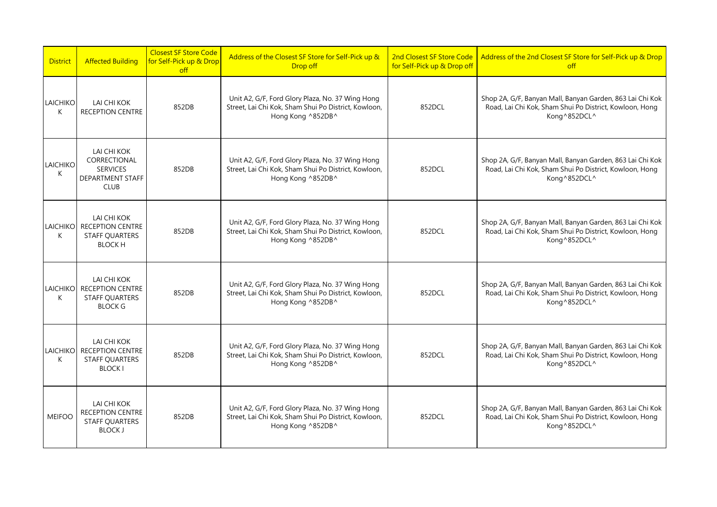| <b>District</b>      | <b>Affected Building</b>                                                                 | <b>Closest SF Store Code</b><br>for Self-Pick up & Drop<br>$\int$ | Address of the Closest SF Store for Self-Pick up &<br>Drop off                                                                | 2nd Closest SF Store Code<br>for Self-Pick up & Drop off | Address of the 2nd Closest SF Store for Self-Pick up & Drop<br>$\circ$ ff                                                            |
|----------------------|------------------------------------------------------------------------------------------|-------------------------------------------------------------------|-------------------------------------------------------------------------------------------------------------------------------|----------------------------------------------------------|--------------------------------------------------------------------------------------------------------------------------------------|
| LAICHIKO<br>K        | LAI CHI KOK<br><b>RECEPTION CENTRE</b>                                                   | 852DB                                                             | Unit A2, G/F, Ford Glory Plaza, No. 37 Wing Hong<br>Street, Lai Chi Kok, Sham Shui Po District, Kowloon,<br>Hong Kong ^852DB^ | 852DCL                                                   | Shop 2A, G/F, Banyan Mall, Banyan Garden, 863 Lai Chi Kok<br>Road, Lai Chi Kok, Sham Shui Po District, Kowloon, Hong<br>Kong^852DCL^ |
| LAICHIKO<br>K        | LAI CHI KOK<br>CORRECTIONAL<br><b>SERVICES</b><br><b>DEPARTMENT STAFF</b><br><b>CLUB</b> | 852DB                                                             | Unit A2, G/F, Ford Glory Plaza, No. 37 Wing Hong<br>Street, Lai Chi Kok, Sham Shui Po District, Kowloon,<br>Hong Kong ^852DB^ | 852DCL                                                   | Shop 2A, G/F, Banyan Mall, Banyan Garden, 863 Lai Chi Kok<br>Road, Lai Chi Kok, Sham Shui Po District, Kowloon, Hong<br>Kong^852DCL^ |
| <b>LAICHIKO</b><br>K | LAI CHI KOK<br><b>RECEPTION CENTRE</b><br><b>STAFF QUARTERS</b><br><b>BLOCK H</b>        | 852DB                                                             | Unit A2, G/F, Ford Glory Plaza, No. 37 Wing Hong<br>Street, Lai Chi Kok, Sham Shui Po District, Kowloon,<br>Hong Kong ^852DB^ | 852DCL                                                   | Shop 2A, G/F, Banyan Mall, Banyan Garden, 863 Lai Chi Kok<br>Road, Lai Chi Kok, Sham Shui Po District, Kowloon, Hong<br>Kong^852DCL^ |
| <b>LAICHIKO</b><br>K | LAI CHI KOK<br><b>RECEPTION CENTRE</b><br><b>STAFF QUARTERS</b><br><b>BLOCK G</b>        | 852DB                                                             | Unit A2, G/F, Ford Glory Plaza, No. 37 Wing Hong<br>Street, Lai Chi Kok, Sham Shui Po District, Kowloon,<br>Hong Kong ^852DB^ | 852DCL                                                   | Shop 2A, G/F, Banyan Mall, Banyan Garden, 863 Lai Chi Kok<br>Road, Lai Chi Kok, Sham Shui Po District, Kowloon, Hong<br>Kong^852DCL^ |
| <b>LAICHIKO</b><br>К | LAI CHI KOK<br><b>RECEPTION CENTRE</b><br><b>STAFF QUARTERS</b><br><b>BLOCK I</b>        | 852DB                                                             | Unit A2, G/F, Ford Glory Plaza, No. 37 Wing Hong<br>Street, Lai Chi Kok, Sham Shui Po District, Kowloon,<br>Hong Kong ^852DB^ | 852DCL                                                   | Shop 2A, G/F, Banyan Mall, Banyan Garden, 863 Lai Chi Kok<br>Road, Lai Chi Kok, Sham Shui Po District, Kowloon, Hong<br>Kong^852DCL^ |
| <b>MEIFOO</b>        | LAI CHI KOK<br>RECEPTION CENTRE<br><b>STAFF QUARTERS</b><br><b>BLOCK J</b>               | 852DB                                                             | Unit A2, G/F, Ford Glory Plaza, No. 37 Wing Hong<br>Street, Lai Chi Kok, Sham Shui Po District, Kowloon,<br>Hong Kong ^852DB^ | 852DCL                                                   | Shop 2A, G/F, Banyan Mall, Banyan Garden, 863 Lai Chi Kok<br>Road, Lai Chi Kok, Sham Shui Po District, Kowloon, Hong<br>Kong^852DCL^ |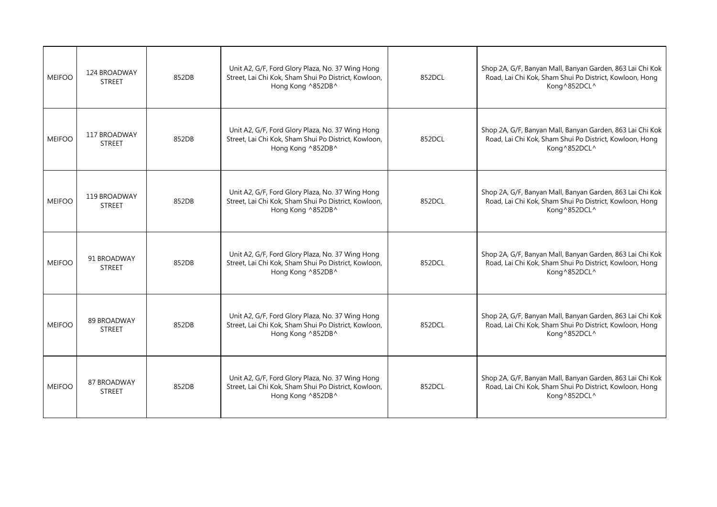| <b>MEIFOO</b> | 124 BROADWAY<br><b>STREET</b> | 852DB | Unit A2, G/F, Ford Glory Plaza, No. 37 Wing Hong<br>Street, Lai Chi Kok, Sham Shui Po District, Kowloon,<br>Hong Kong ^852DB^ | 852DCL | Shop 2A, G/F, Banyan Mall, Banyan Garden, 863 Lai Chi Kok<br>Road, Lai Chi Kok, Sham Shui Po District, Kowloon, Hong<br>Kong^852DCL^ |
|---------------|-------------------------------|-------|-------------------------------------------------------------------------------------------------------------------------------|--------|--------------------------------------------------------------------------------------------------------------------------------------|
| <b>MEIFOO</b> | 117 BROADWAY<br><b>STREET</b> | 852DB | Unit A2, G/F, Ford Glory Plaza, No. 37 Wing Hong<br>Street, Lai Chi Kok, Sham Shui Po District, Kowloon,<br>Hong Kong ^852DB^ | 852DCL | Shop 2A, G/F, Banyan Mall, Banyan Garden, 863 Lai Chi Kok<br>Road, Lai Chi Kok, Sham Shui Po District, Kowloon, Hong<br>Kong^852DCL^ |
| <b>MEIFOO</b> | 119 BROADWAY<br><b>STREET</b> | 852DB | Unit A2, G/F, Ford Glory Plaza, No. 37 Wing Hong<br>Street, Lai Chi Kok, Sham Shui Po District, Kowloon,<br>Hong Kong ^852DB^ | 852DCL | Shop 2A, G/F, Banyan Mall, Banyan Garden, 863 Lai Chi Kok<br>Road, Lai Chi Kok, Sham Shui Po District, Kowloon, Hong<br>Kong^852DCL^ |
| <b>MEIFOO</b> | 91 BROADWAY<br><b>STREET</b>  | 852DB | Unit A2, G/F, Ford Glory Plaza, No. 37 Wing Hong<br>Street, Lai Chi Kok, Sham Shui Po District, Kowloon,<br>Hong Kong ^852DB^ | 852DCL | Shop 2A, G/F, Banyan Mall, Banyan Garden, 863 Lai Chi Kok<br>Road, Lai Chi Kok, Sham Shui Po District, Kowloon, Hong<br>Kong^852DCL^ |
| <b>MEIFOO</b> | 89 BROADWAY<br><b>STREET</b>  | 852DB | Unit A2, G/F, Ford Glory Plaza, No. 37 Wing Hong<br>Street, Lai Chi Kok, Sham Shui Po District, Kowloon,<br>Hong Kong ^852DB^ | 852DCL | Shop 2A, G/F, Banyan Mall, Banyan Garden, 863 Lai Chi Kok<br>Road, Lai Chi Kok, Sham Shui Po District, Kowloon, Hong<br>Kong^852DCL^ |
| <b>MEIFOO</b> | 87 BROADWAY<br><b>STREET</b>  | 852DB | Unit A2, G/F, Ford Glory Plaza, No. 37 Wing Hong<br>Street, Lai Chi Kok, Sham Shui Po District, Kowloon,<br>Hong Kong ^852DB^ | 852DCL | Shop 2A, G/F, Banyan Mall, Banyan Garden, 863 Lai Chi Kok<br>Road, Lai Chi Kok, Sham Shui Po District, Kowloon, Hong<br>Kong^852DCL^ |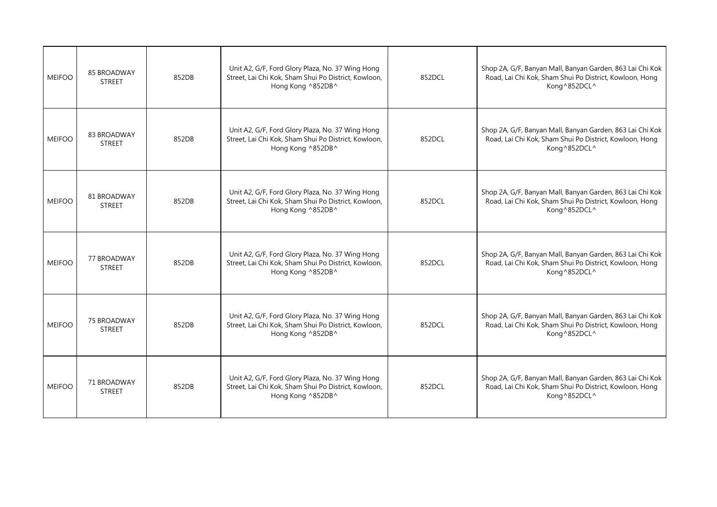| <b>MEIFOO</b> | 85 BROADWAY<br><b>STREET</b>        | 852DB | Unit A2, G/F, Ford Glory Plaza, No. 37 Wing Hong<br>Street, Lai Chi Kok, Sham Shui Po District, Kowloon,<br>Hong Kong ^852DB^ | 852DCL | Shop 2A, G/F, Banyan Mall, Banyan Garden, 863 Lai Chi Kok<br>Road, Lai Chi Kok, Sham Shui Po District, Kowloon, Hong<br>Kong^852DCL^ |
|---------------|-------------------------------------|-------|-------------------------------------------------------------------------------------------------------------------------------|--------|--------------------------------------------------------------------------------------------------------------------------------------|
| <b>MEIFOO</b> | 83 BROADWAY<br><b>STREET</b>        | 852DB | Unit A2, G/F, Ford Glory Plaza, No. 37 Wing Hong<br>Street, Lai Chi Kok, Sham Shui Po District, Kowloon,<br>Hong Kong ^852DB^ | 852DCL | Shop 2A, G/F, Banyan Mall, Banyan Garden, 863 Lai Chi Kok<br>Road, Lai Chi Kok, Sham Shui Po District, Kowloon, Hong<br>Kong^852DCL^ |
| <b>MEIFOO</b> | 81 BROADWAY<br><b>STREET</b>        | 852DB | Unit A2, G/F, Ford Glory Plaza, No. 37 Wing Hong<br>Street, Lai Chi Kok, Sham Shui Po District, Kowloon,<br>Hong Kong ^852DB^ | 852DCL | Shop 2A, G/F, Banyan Mall, Banyan Garden, 863 Lai Chi Kok<br>Road, Lai Chi Kok, Sham Shui Po District, Kowloon, Hong<br>Kong^852DCL^ |
| <b>MEIFOO</b> | 77 BROADWAY<br><b>STREET</b>        | 852DB | Unit A2, G/F, Ford Glory Plaza, No. 37 Wing Hong<br>Street, Lai Chi Kok, Sham Shui Po District, Kowloon,<br>Hong Kong ^852DB^ | 852DCL | Shop 2A, G/F, Banyan Mall, Banyan Garden, 863 Lai Chi Kok<br>Road, Lai Chi Kok, Sham Shui Po District, Kowloon, Hong<br>Kong^852DCL^ |
| <b>MEIFOO</b> | <b>75 BROADWAY</b><br><b>STREET</b> | 852DB | Unit A2, G/F, Ford Glory Plaza, No. 37 Wing Hong<br>Street, Lai Chi Kok, Sham Shui Po District, Kowloon,<br>Hong Kong ^852DB^ | 852DCL | Shop 2A, G/F, Banyan Mall, Banyan Garden, 863 Lai Chi Kok<br>Road, Lai Chi Kok, Sham Shui Po District, Kowloon, Hong<br>Kong^852DCL^ |
| <b>MEIFOO</b> | 71 BROADWAY<br><b>STREET</b>        | 852DB | Unit A2, G/F, Ford Glory Plaza, No. 37 Wing Hong<br>Street, Lai Chi Kok, Sham Shui Po District, Kowloon,<br>Hong Kong ^852DB^ | 852DCL | Shop 2A, G/F, Banyan Mall, Banyan Garden, 863 Lai Chi Kok<br>Road, Lai Chi Kok, Sham Shui Po District, Kowloon, Hong<br>Kong^852DCL^ |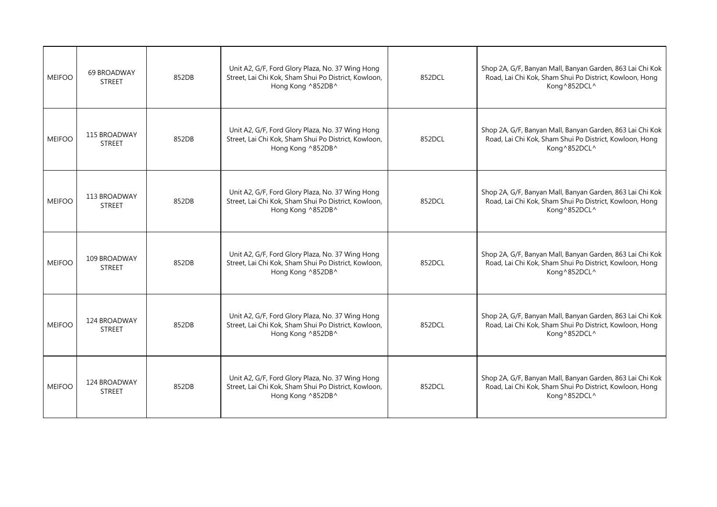| <b>MEIFOO</b> | 69 BROADWAY<br><b>STREET</b>  | 852DB | Unit A2, G/F, Ford Glory Plaza, No. 37 Wing Hong<br>Street, Lai Chi Kok, Sham Shui Po District, Kowloon,<br>Hong Kong ^852DB^ | 852DCL | Shop 2A, G/F, Banyan Mall, Banyan Garden, 863 Lai Chi Kok<br>Road, Lai Chi Kok, Sham Shui Po District, Kowloon, Hong<br>Kong^852DCL^ |
|---------------|-------------------------------|-------|-------------------------------------------------------------------------------------------------------------------------------|--------|--------------------------------------------------------------------------------------------------------------------------------------|
| <b>MEIFOO</b> | 115 BROADWAY<br><b>STREET</b> | 852DB | Unit A2, G/F, Ford Glory Plaza, No. 37 Wing Hong<br>Street, Lai Chi Kok, Sham Shui Po District, Kowloon,<br>Hong Kong ^852DB^ | 852DCL | Shop 2A, G/F, Banyan Mall, Banyan Garden, 863 Lai Chi Kok<br>Road, Lai Chi Kok, Sham Shui Po District, Kowloon, Hong<br>Kong^852DCL^ |
| <b>MEIFOO</b> | 113 BROADWAY<br><b>STREET</b> | 852DB | Unit A2, G/F, Ford Glory Plaza, No. 37 Wing Hong<br>Street, Lai Chi Kok, Sham Shui Po District, Kowloon,<br>Hong Kong ^852DB^ | 852DCL | Shop 2A, G/F, Banyan Mall, Banyan Garden, 863 Lai Chi Kok<br>Road, Lai Chi Kok, Sham Shui Po District, Kowloon, Hong<br>Kong^852DCL^ |
| <b>MEIFOO</b> | 109 BROADWAY<br><b>STREET</b> | 852DB | Unit A2, G/F, Ford Glory Plaza, No. 37 Wing Hong<br>Street, Lai Chi Kok, Sham Shui Po District, Kowloon,<br>Hong Kong ^852DB^ | 852DCL | Shop 2A, G/F, Banyan Mall, Banyan Garden, 863 Lai Chi Kok<br>Road, Lai Chi Kok, Sham Shui Po District, Kowloon, Hong<br>Kong^852DCL^ |
| <b>MEIFOO</b> | 124 BROADWAY<br><b>STREET</b> | 852DB | Unit A2, G/F, Ford Glory Plaza, No. 37 Wing Hong<br>Street, Lai Chi Kok, Sham Shui Po District, Kowloon,<br>Hong Kong ^852DB^ | 852DCL | Shop 2A, G/F, Banyan Mall, Banyan Garden, 863 Lai Chi Kok<br>Road, Lai Chi Kok, Sham Shui Po District, Kowloon, Hong<br>Kong^852DCL^ |
| <b>MEIFOO</b> | 124 BROADWAY<br><b>STREET</b> | 852DB | Unit A2, G/F, Ford Glory Plaza, No. 37 Wing Hong<br>Street, Lai Chi Kok, Sham Shui Po District, Kowloon,<br>Hong Kong ^852DB^ | 852DCL | Shop 2A, G/F, Banyan Mall, Banyan Garden, 863 Lai Chi Kok<br>Road, Lai Chi Kok, Sham Shui Po District, Kowloon, Hong<br>Kong^852DCL^ |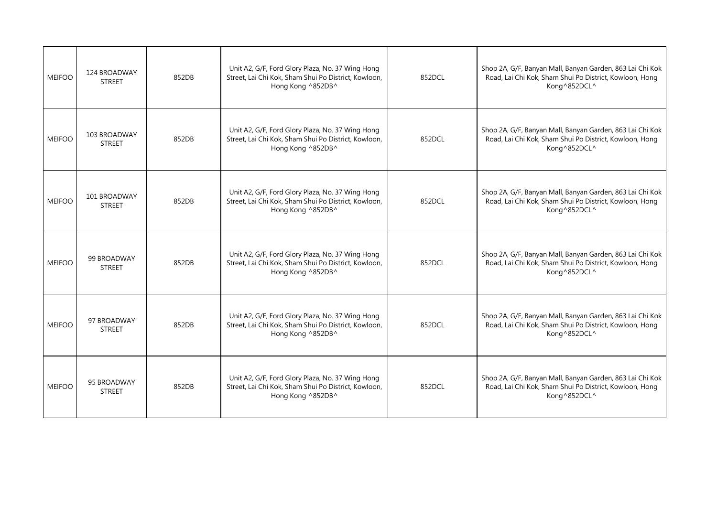| <b>MEIFOO</b> | 124 BROADWAY<br><b>STREET</b> | 852DB | Unit A2, G/F, Ford Glory Plaza, No. 37 Wing Hong<br>Street, Lai Chi Kok, Sham Shui Po District, Kowloon,<br>Hong Kong ^852DB^ | 852DCL | Shop 2A, G/F, Banyan Mall, Banyan Garden, 863 Lai Chi Kok<br>Road, Lai Chi Kok, Sham Shui Po District, Kowloon, Hong<br>Kong^852DCL^ |
|---------------|-------------------------------|-------|-------------------------------------------------------------------------------------------------------------------------------|--------|--------------------------------------------------------------------------------------------------------------------------------------|
| <b>MEIFOO</b> | 103 BROADWAY<br><b>STREET</b> | 852DB | Unit A2, G/F, Ford Glory Plaza, No. 37 Wing Hong<br>Street, Lai Chi Kok, Sham Shui Po District, Kowloon,<br>Hong Kong ^852DB^ | 852DCL | Shop 2A, G/F, Banyan Mall, Banyan Garden, 863 Lai Chi Kok<br>Road, Lai Chi Kok, Sham Shui Po District, Kowloon, Hong<br>Kong^852DCL^ |
| <b>MEIFOO</b> | 101 BROADWAY<br><b>STREET</b> | 852DB | Unit A2, G/F, Ford Glory Plaza, No. 37 Wing Hong<br>Street, Lai Chi Kok, Sham Shui Po District, Kowloon,<br>Hong Kong ^852DB^ | 852DCL | Shop 2A, G/F, Banyan Mall, Banyan Garden, 863 Lai Chi Kok<br>Road, Lai Chi Kok, Sham Shui Po District, Kowloon, Hong<br>Kong^852DCL^ |
| <b>MEIFOO</b> | 99 BROADWAY<br><b>STREET</b>  | 852DB | Unit A2, G/F, Ford Glory Plaza, No. 37 Wing Hong<br>Street, Lai Chi Kok, Sham Shui Po District, Kowloon,<br>Hong Kong ^852DB^ | 852DCL | Shop 2A, G/F, Banyan Mall, Banyan Garden, 863 Lai Chi Kok<br>Road, Lai Chi Kok, Sham Shui Po District, Kowloon, Hong<br>Kong^852DCL^ |
| <b>MEIFOO</b> | 97 BROADWAY<br><b>STREET</b>  | 852DB | Unit A2, G/F, Ford Glory Plaza, No. 37 Wing Hong<br>Street, Lai Chi Kok, Sham Shui Po District, Kowloon,<br>Hong Kong ^852DB^ | 852DCL | Shop 2A, G/F, Banyan Mall, Banyan Garden, 863 Lai Chi Kok<br>Road, Lai Chi Kok, Sham Shui Po District, Kowloon, Hong<br>Kong^852DCL^ |
| <b>MEIFOO</b> | 95 BROADWAY<br><b>STREET</b>  | 852DB | Unit A2, G/F, Ford Glory Plaza, No. 37 Wing Hong<br>Street, Lai Chi Kok, Sham Shui Po District, Kowloon,<br>Hong Kong ^852DB^ | 852DCL | Shop 2A, G/F, Banyan Mall, Banyan Garden, 863 Lai Chi Kok<br>Road, Lai Chi Kok, Sham Shui Po District, Kowloon, Hong<br>Kong^852DCL^ |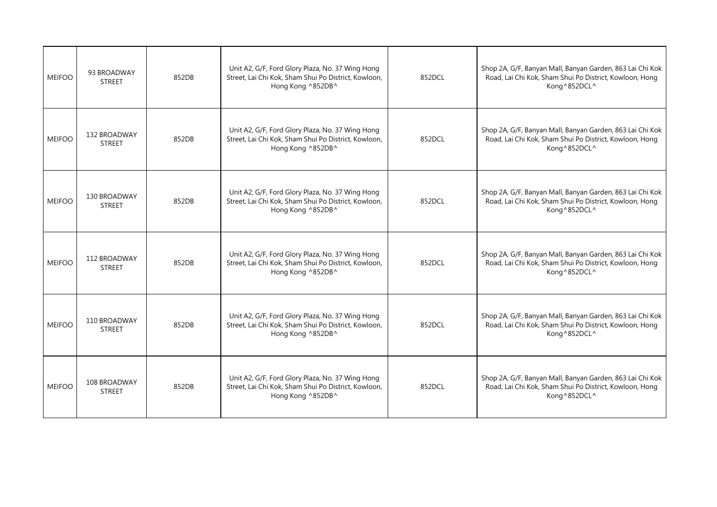| <b>MEIFOO</b> | 93 BROADWAY<br><b>STREET</b>  | 852DB | Unit A2, G/F, Ford Glory Plaza, No. 37 Wing Hong<br>Street, Lai Chi Kok, Sham Shui Po District, Kowloon,<br>Hong Kong ^852DB^ | 852DCL | Shop 2A, G/F, Banyan Mall, Banyan Garden, 863 Lai Chi Kok<br>Road, Lai Chi Kok, Sham Shui Po District, Kowloon, Hong<br>Kong^852DCL^ |
|---------------|-------------------------------|-------|-------------------------------------------------------------------------------------------------------------------------------|--------|--------------------------------------------------------------------------------------------------------------------------------------|
| <b>MEIFOO</b> | 132 BROADWAY<br><b>STREET</b> | 852DB | Unit A2, G/F, Ford Glory Plaza, No. 37 Wing Hong<br>Street, Lai Chi Kok, Sham Shui Po District, Kowloon,<br>Hong Kong ^852DB^ | 852DCL | Shop 2A, G/F, Banyan Mall, Banyan Garden, 863 Lai Chi Kok<br>Road, Lai Chi Kok, Sham Shui Po District, Kowloon, Hong<br>Kong^852DCL^ |
| <b>MEIFOO</b> | 130 BROADWAY<br><b>STREET</b> | 852DB | Unit A2, G/F, Ford Glory Plaza, No. 37 Wing Hong<br>Street, Lai Chi Kok, Sham Shui Po District, Kowloon,<br>Hong Kong ^852DB^ | 852DCL | Shop 2A, G/F, Banyan Mall, Banyan Garden, 863 Lai Chi Kok<br>Road, Lai Chi Kok, Sham Shui Po District, Kowloon, Hong<br>Kong^852DCL^ |
| <b>MEIFOO</b> | 112 BROADWAY<br><b>STREET</b> | 852DB | Unit A2, G/F, Ford Glory Plaza, No. 37 Wing Hong<br>Street, Lai Chi Kok, Sham Shui Po District, Kowloon,<br>Hong Kong ^852DB^ | 852DCL | Shop 2A, G/F, Banyan Mall, Banyan Garden, 863 Lai Chi Kok<br>Road, Lai Chi Kok, Sham Shui Po District, Kowloon, Hong<br>Kong^852DCL^ |
| <b>MEIFOO</b> | 110 BROADWAY<br><b>STREET</b> | 852DB | Unit A2, G/F, Ford Glory Plaza, No. 37 Wing Hong<br>Street, Lai Chi Kok, Sham Shui Po District, Kowloon,<br>Hong Kong ^852DB^ | 852DCL | Shop 2A, G/F, Banyan Mall, Banyan Garden, 863 Lai Chi Kok<br>Road, Lai Chi Kok, Sham Shui Po District, Kowloon, Hong<br>Kong^852DCL^ |
| <b>MEIFOO</b> | 108 BROADWAY<br><b>STREET</b> | 852DB | Unit A2, G/F, Ford Glory Plaza, No. 37 Wing Hong<br>Street, Lai Chi Kok, Sham Shui Po District, Kowloon,<br>Hong Kong ^852DB^ | 852DCL | Shop 2A, G/F, Banyan Mall, Banyan Garden, 863 Lai Chi Kok<br>Road, Lai Chi Kok, Sham Shui Po District, Kowloon, Hong<br>Kong^852DCL^ |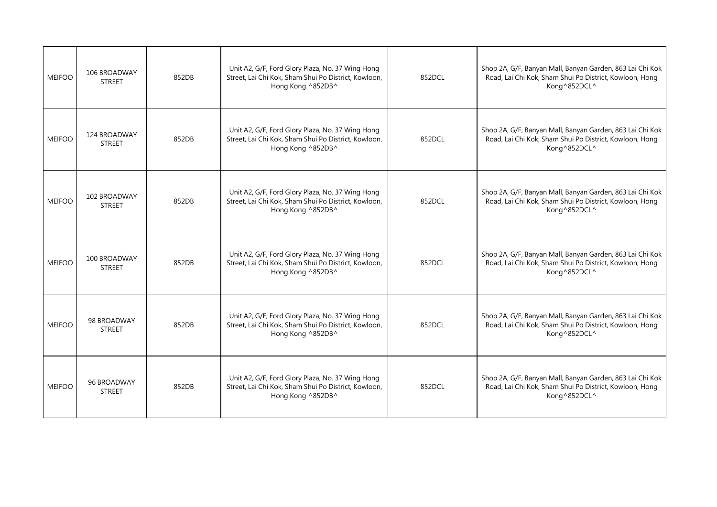| <b>MEIFOO</b> | 106 BROADWAY<br><b>STREET</b> | 852DB | Unit A2, G/F, Ford Glory Plaza, No. 37 Wing Hong<br>Street, Lai Chi Kok, Sham Shui Po District, Kowloon,<br>Hong Kong ^852DB^ | 852DCL | Shop 2A, G/F, Banyan Mall, Banyan Garden, 863 Lai Chi Kok<br>Road, Lai Chi Kok, Sham Shui Po District, Kowloon, Hong<br>Kong^852DCL^ |
|---------------|-------------------------------|-------|-------------------------------------------------------------------------------------------------------------------------------|--------|--------------------------------------------------------------------------------------------------------------------------------------|
| <b>MEIFOO</b> | 124 BROADWAY<br><b>STREET</b> | 852DB | Unit A2, G/F, Ford Glory Plaza, No. 37 Wing Hong<br>Street, Lai Chi Kok, Sham Shui Po District, Kowloon,<br>Hong Kong ^852DB^ | 852DCL | Shop 2A, G/F, Banyan Mall, Banyan Garden, 863 Lai Chi Kok<br>Road, Lai Chi Kok, Sham Shui Po District, Kowloon, Hong<br>Kong^852DCL^ |
| <b>MEIFOO</b> | 102 BROADWAY<br><b>STREET</b> | 852DB | Unit A2, G/F, Ford Glory Plaza, No. 37 Wing Hong<br>Street, Lai Chi Kok, Sham Shui Po District, Kowloon,<br>Hong Kong ^852DB^ | 852DCL | Shop 2A, G/F, Banyan Mall, Banyan Garden, 863 Lai Chi Kok<br>Road, Lai Chi Kok, Sham Shui Po District, Kowloon, Hong<br>Kong^852DCL^ |
| <b>MEIFOO</b> | 100 BROADWAY<br><b>STREET</b> | 852DB | Unit A2, G/F, Ford Glory Plaza, No. 37 Wing Hong<br>Street, Lai Chi Kok, Sham Shui Po District, Kowloon,<br>Hong Kong ^852DB^ | 852DCL | Shop 2A, G/F, Banyan Mall, Banyan Garden, 863 Lai Chi Kok<br>Road, Lai Chi Kok, Sham Shui Po District, Kowloon, Hong<br>Kong^852DCL^ |
| <b>MEIFOO</b> | 98 BROADWAY<br><b>STREET</b>  | 852DB | Unit A2, G/F, Ford Glory Plaza, No. 37 Wing Hong<br>Street, Lai Chi Kok, Sham Shui Po District, Kowloon,<br>Hong Kong ^852DB^ | 852DCL | Shop 2A, G/F, Banyan Mall, Banyan Garden, 863 Lai Chi Kok<br>Road, Lai Chi Kok, Sham Shui Po District, Kowloon, Hong<br>Kong^852DCL^ |
| <b>MEIFOO</b> | 96 BROADWAY<br><b>STREET</b>  | 852DB | Unit A2, G/F, Ford Glory Plaza, No. 37 Wing Hong<br>Street, Lai Chi Kok, Sham Shui Po District, Kowloon,<br>Hong Kong ^852DB^ | 852DCL | Shop 2A, G/F, Banyan Mall, Banyan Garden, 863 Lai Chi Kok<br>Road, Lai Chi Kok, Sham Shui Po District, Kowloon, Hong<br>Kong^852DCL^ |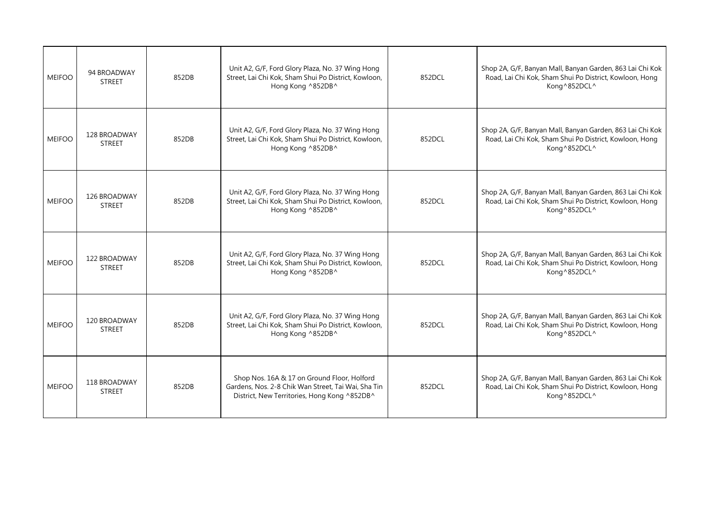| <b>MEIFOO</b> | 94 BROADWAY<br><b>STREET</b>  | 852DB | Unit A2, G/F, Ford Glory Plaza, No. 37 Wing Hong<br>Street, Lai Chi Kok, Sham Shui Po District, Kowloon,<br>Hong Kong ^852DB^                      | 852DCL | Shop 2A, G/F, Banyan Mall, Banyan Garden, 863 Lai Chi Kok<br>Road, Lai Chi Kok, Sham Shui Po District, Kowloon, Hong<br>Kong^852DCL^ |
|---------------|-------------------------------|-------|----------------------------------------------------------------------------------------------------------------------------------------------------|--------|--------------------------------------------------------------------------------------------------------------------------------------|
| <b>MEIFOO</b> | 128 BROADWAY<br><b>STREET</b> | 852DB | Unit A2, G/F, Ford Glory Plaza, No. 37 Wing Hong<br>Street, Lai Chi Kok, Sham Shui Po District, Kowloon,<br>Hong Kong ^852DB^                      | 852DCL | Shop 2A, G/F, Banyan Mall, Banyan Garden, 863 Lai Chi Kok<br>Road, Lai Chi Kok, Sham Shui Po District, Kowloon, Hong<br>Kong^852DCL^ |
| <b>MEIFOO</b> | 126 BROADWAY<br><b>STREET</b> | 852DB | Unit A2, G/F, Ford Glory Plaza, No. 37 Wing Hong<br>Street, Lai Chi Kok, Sham Shui Po District, Kowloon,<br>Hong Kong ^852DB^                      | 852DCL | Shop 2A, G/F, Banyan Mall, Banyan Garden, 863 Lai Chi Kok<br>Road, Lai Chi Kok, Sham Shui Po District, Kowloon, Hong<br>Kong^852DCL^ |
| <b>MEIFOO</b> | 122 BROADWAY<br><b>STREET</b> | 852DB | Unit A2, G/F, Ford Glory Plaza, No. 37 Wing Hong<br>Street, Lai Chi Kok, Sham Shui Po District, Kowloon,<br>Hong Kong ^852DB^                      | 852DCL | Shop 2A, G/F, Banyan Mall, Banyan Garden, 863 Lai Chi Kok<br>Road, Lai Chi Kok, Sham Shui Po District, Kowloon, Hong<br>Kong^852DCL^ |
| <b>MEIFOO</b> | 120 BROADWAY<br><b>STREET</b> | 852DB | Unit A2, G/F, Ford Glory Plaza, No. 37 Wing Hong<br>Street, Lai Chi Kok, Sham Shui Po District, Kowloon,<br>Hong Kong ^852DB^                      | 852DCL | Shop 2A, G/F, Banyan Mall, Banyan Garden, 863 Lai Chi Kok<br>Road, Lai Chi Kok, Sham Shui Po District, Kowloon, Hong<br>Kong^852DCL^ |
| <b>MEIFOO</b> | 118 BROADWAY<br><b>STREET</b> | 852DB | Shop Nos. 16A & 17 on Ground Floor, Holford<br>Gardens, Nos. 2-8 Chik Wan Street, Tai Wai, Sha Tin<br>District, New Territories, Hong Kong ^852DB^ | 852DCL | Shop 2A, G/F, Banyan Mall, Banyan Garden, 863 Lai Chi Kok<br>Road, Lai Chi Kok, Sham Shui Po District, Kowloon, Hong<br>Kong^852DCL^ |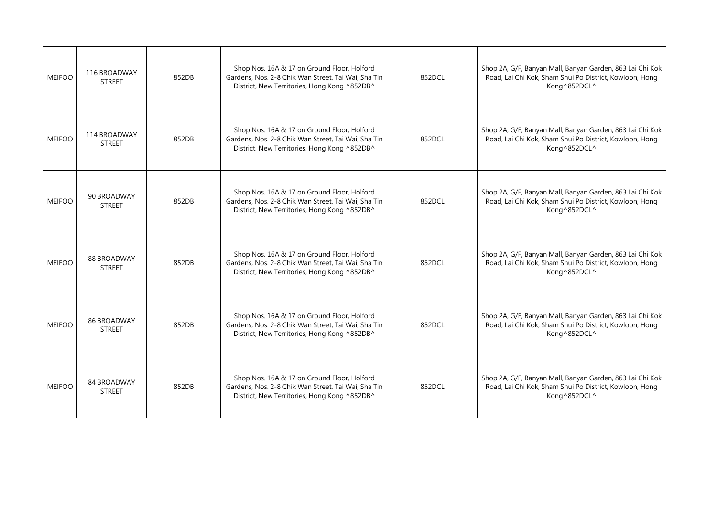| <b>MEIFOO</b> | 116 BROADWAY<br><b>STREET</b>       | 852DB | Shop Nos. 16A & 17 on Ground Floor, Holford<br>Gardens, Nos. 2-8 Chik Wan Street, Tai Wai, Sha Tin<br>District, New Territories, Hong Kong ^852DB^ | 852DCL | Shop 2A, G/F, Banyan Mall, Banyan Garden, 863 Lai Chi Kok<br>Road, Lai Chi Kok, Sham Shui Po District, Kowloon, Hong<br>Kong^852DCL^ |
|---------------|-------------------------------------|-------|----------------------------------------------------------------------------------------------------------------------------------------------------|--------|--------------------------------------------------------------------------------------------------------------------------------------|
| <b>MEIFOO</b> | 114 BROADWAY<br><b>STREET</b>       | 852DB | Shop Nos. 16A & 17 on Ground Floor, Holford<br>Gardens, Nos. 2-8 Chik Wan Street, Tai Wai, Sha Tin<br>District, New Territories, Hong Kong ^852DB^ | 852DCL | Shop 2A, G/F, Banyan Mall, Banyan Garden, 863 Lai Chi Kok<br>Road, Lai Chi Kok, Sham Shui Po District, Kowloon, Hong<br>Kong^852DCL^ |
| <b>MEIFOO</b> | 90 BROADWAY<br><b>STREET</b>        | 852DB | Shop Nos. 16A & 17 on Ground Floor, Holford<br>Gardens, Nos. 2-8 Chik Wan Street, Tai Wai, Sha Tin<br>District, New Territories, Hong Kong ^852DB^ | 852DCL | Shop 2A, G/F, Banyan Mall, Banyan Garden, 863 Lai Chi Kok<br>Road, Lai Chi Kok, Sham Shui Po District, Kowloon, Hong<br>Kong^852DCL^ |
| <b>MEIFOO</b> | 88 BROADWAY<br><b>STREET</b>        | 852DB | Shop Nos. 16A & 17 on Ground Floor, Holford<br>Gardens, Nos. 2-8 Chik Wan Street, Tai Wai, Sha Tin<br>District, New Territories, Hong Kong ^852DB^ | 852DCL | Shop 2A, G/F, Banyan Mall, Banyan Garden, 863 Lai Chi Kok<br>Road, Lai Chi Kok, Sham Shui Po District, Kowloon, Hong<br>Kong^852DCL^ |
| <b>MEIFOO</b> | <b>86 BROADWAY</b><br><b>STREET</b> | 852DB | Shop Nos. 16A & 17 on Ground Floor, Holford<br>Gardens, Nos. 2-8 Chik Wan Street, Tai Wai, Sha Tin<br>District, New Territories, Hong Kong ^852DB^ | 852DCL | Shop 2A, G/F, Banyan Mall, Banyan Garden, 863 Lai Chi Kok<br>Road, Lai Chi Kok, Sham Shui Po District, Kowloon, Hong<br>Kong^852DCL^ |
| <b>MEIFOO</b> | 84 BROADWAY<br><b>STREET</b>        | 852DB | Shop Nos. 16A & 17 on Ground Floor, Holford<br>Gardens, Nos. 2-8 Chik Wan Street, Tai Wai, Sha Tin<br>District, New Territories, Hong Kong ^852DB^ | 852DCL | Shop 2A, G/F, Banyan Mall, Banyan Garden, 863 Lai Chi Kok<br>Road, Lai Chi Kok, Sham Shui Po District, Kowloon, Hong<br>Kong^852DCL^ |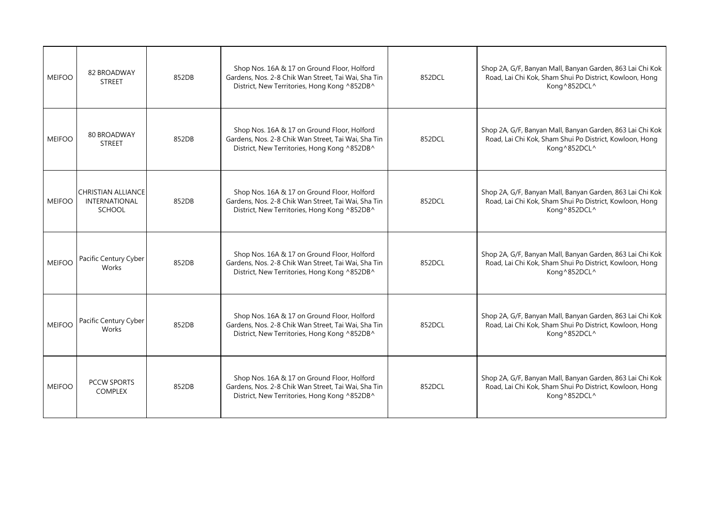| <b>MEIFOO</b> | 82 BROADWAY<br><b>STREET</b>                                       | 852DB | Shop Nos. 16A & 17 on Ground Floor, Holford<br>Gardens, Nos. 2-8 Chik Wan Street, Tai Wai, Sha Tin<br>District, New Territories, Hong Kong ^852DB^ | 852DCL | Shop 2A, G/F, Banyan Mall, Banyan Garden, 863 Lai Chi Kok<br>Road, Lai Chi Kok, Sham Shui Po District, Kowloon, Hong<br>Kong^852DCL^ |
|---------------|--------------------------------------------------------------------|-------|----------------------------------------------------------------------------------------------------------------------------------------------------|--------|--------------------------------------------------------------------------------------------------------------------------------------|
| <b>MEIFOO</b> | <b>80 BROADWAY</b><br><b>STREET</b>                                | 852DB | Shop Nos. 16A & 17 on Ground Floor, Holford<br>Gardens, Nos. 2-8 Chik Wan Street, Tai Wai, Sha Tin<br>District, New Territories, Hong Kong ^852DB^ | 852DCL | Shop 2A, G/F, Banyan Mall, Banyan Garden, 863 Lai Chi Kok<br>Road, Lai Chi Kok, Sham Shui Po District, Kowloon, Hong<br>Kong^852DCL^ |
| <b>MEIFOO</b> | <b>CHRISTIAN ALLIANCE</b><br><b>INTERNATIONAL</b><br><b>SCHOOL</b> | 852DB | Shop Nos. 16A & 17 on Ground Floor, Holford<br>Gardens, Nos. 2-8 Chik Wan Street, Tai Wai, Sha Tin<br>District, New Territories, Hong Kong ^852DB^ | 852DCL | Shop 2A, G/F, Banyan Mall, Banyan Garden, 863 Lai Chi Kok<br>Road, Lai Chi Kok, Sham Shui Po District, Kowloon, Hong<br>Kong^852DCL^ |
| <b>MEIFOO</b> | Pacific Century Cyber<br>Works                                     | 852DB | Shop Nos. 16A & 17 on Ground Floor, Holford<br>Gardens, Nos. 2-8 Chik Wan Street, Tai Wai, Sha Tin<br>District, New Territories, Hong Kong ^852DB^ | 852DCL | Shop 2A, G/F, Banyan Mall, Banyan Garden, 863 Lai Chi Kok<br>Road, Lai Chi Kok, Sham Shui Po District, Kowloon, Hong<br>Kong^852DCL^ |
| <b>MEIFOO</b> | Pacific Century Cyber<br>Works                                     | 852DB | Shop Nos. 16A & 17 on Ground Floor, Holford<br>Gardens, Nos. 2-8 Chik Wan Street, Tai Wai, Sha Tin<br>District, New Territories, Hong Kong ^852DB^ | 852DCL | Shop 2A, G/F, Banyan Mall, Banyan Garden, 863 Lai Chi Kok<br>Road, Lai Chi Kok, Sham Shui Po District, Kowloon, Hong<br>Kong^852DCL^ |
| <b>MEIFOO</b> | <b>PCCW SPORTS</b><br><b>COMPLEX</b>                               | 852DB | Shop Nos. 16A & 17 on Ground Floor, Holford<br>Gardens, Nos. 2-8 Chik Wan Street, Tai Wai, Sha Tin<br>District, New Territories, Hong Kong ^852DB^ | 852DCL | Shop 2A, G/F, Banyan Mall, Banyan Garden, 863 Lai Chi Kok<br>Road, Lai Chi Kok, Sham Shui Po District, Kowloon, Hong<br>Kong^852DCL^ |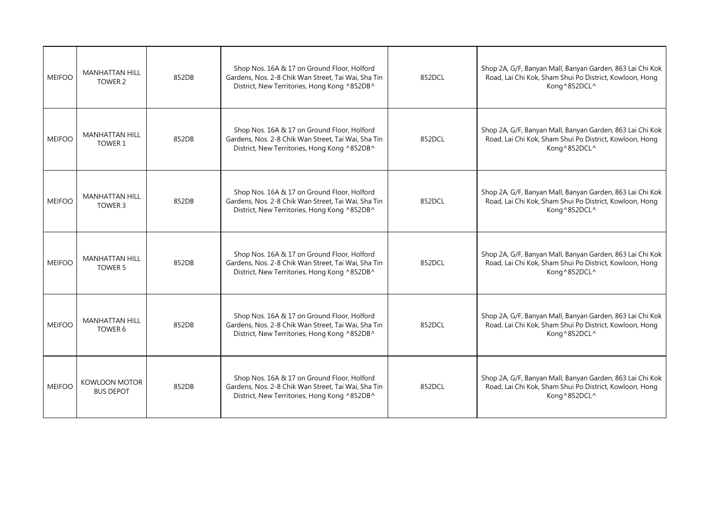| <b>MEIFOO</b> | <b>MANHATTAN HILL</b><br>TOWER 2         | 852DB | Shop Nos. 16A & 17 on Ground Floor, Holford<br>Gardens, Nos. 2-8 Chik Wan Street, Tai Wai, Sha Tin<br>District, New Territories, Hong Kong ^852DB^ | 852DCL | Shop 2A, G/F, Banyan Mall, Banyan Garden, 863 Lai Chi Kok<br>Road, Lai Chi Kok, Sham Shui Po District, Kowloon, Hong<br>Kong^852DCL^ |
|---------------|------------------------------------------|-------|----------------------------------------------------------------------------------------------------------------------------------------------------|--------|--------------------------------------------------------------------------------------------------------------------------------------|
| <b>MEIFOO</b> | <b>MANHATTAN HILL</b><br>TOWER 1         | 852DB | Shop Nos. 16A & 17 on Ground Floor, Holford<br>Gardens, Nos. 2-8 Chik Wan Street, Tai Wai, Sha Tin<br>District, New Territories, Hong Kong ^852DB^ | 852DCL | Shop 2A, G/F, Banyan Mall, Banyan Garden, 863 Lai Chi Kok<br>Road, Lai Chi Kok, Sham Shui Po District, Kowloon, Hong<br>Kong^852DCL^ |
| <b>MEIFOO</b> | <b>MANHATTAN HILL</b><br>TOWER 3         | 852DB | Shop Nos. 16A & 17 on Ground Floor, Holford<br>Gardens, Nos. 2-8 Chik Wan Street, Tai Wai, Sha Tin<br>District, New Territories, Hong Kong ^852DB^ | 852DCL | Shop 2A, G/F, Banyan Mall, Banyan Garden, 863 Lai Chi Kok<br>Road, Lai Chi Kok, Sham Shui Po District, Kowloon, Hong<br>Kong^852DCL^ |
| <b>MEIFOO</b> | <b>MANHATTAN HILL</b><br><b>TOWER 5</b>  | 852DB | Shop Nos. 16A & 17 on Ground Floor, Holford<br>Gardens, Nos. 2-8 Chik Wan Street, Tai Wai, Sha Tin<br>District, New Territories, Hong Kong ^852DB^ | 852DCL | Shop 2A, G/F, Banyan Mall, Banyan Garden, 863 Lai Chi Kok<br>Road, Lai Chi Kok, Sham Shui Po District, Kowloon, Hong<br>Kong^852DCL^ |
| <b>MEIFOO</b> | <b>MANHATTAN HILL</b><br>TOWER 6         | 852DB | Shop Nos. 16A & 17 on Ground Floor, Holford<br>Gardens, Nos. 2-8 Chik Wan Street, Tai Wai, Sha Tin<br>District, New Territories, Hong Kong ^852DB^ | 852DCL | Shop 2A, G/F, Banyan Mall, Banyan Garden, 863 Lai Chi Kok<br>Road, Lai Chi Kok, Sham Shui Po District, Kowloon, Hong<br>Kong^852DCL^ |
| <b>MEIFOO</b> | <b>KOWLOON MOTOR</b><br><b>BUS DEPOT</b> | 852DB | Shop Nos. 16A & 17 on Ground Floor, Holford<br>Gardens, Nos. 2-8 Chik Wan Street, Tai Wai, Sha Tin<br>District, New Territories, Hong Kong ^852DB^ | 852DCL | Shop 2A, G/F, Banyan Mall, Banyan Garden, 863 Lai Chi Kok<br>Road, Lai Chi Kok, Sham Shui Po District, Kowloon, Hong<br>Kong^852DCL^ |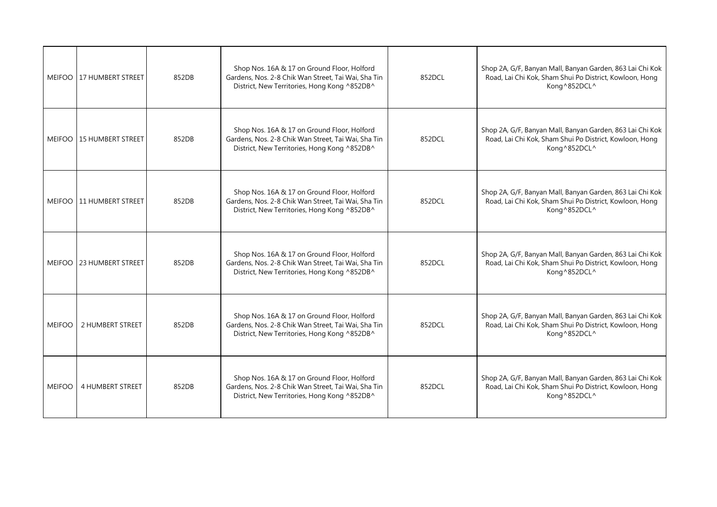|               | MEIFOO 117 HUMBERT STREET  | 852DB | Shop Nos. 16A & 17 on Ground Floor, Holford<br>Gardens, Nos. 2-8 Chik Wan Street, Tai Wai, Sha Tin<br>District, New Territories, Hong Kong ^852DB^ | 852DCL | Shop 2A, G/F, Banyan Mall, Banyan Garden, 863 Lai Chi Kok<br>Road, Lai Chi Kok, Sham Shui Po District, Kowloon, Hong<br>Kong^852DCL^ |
|---------------|----------------------------|-------|----------------------------------------------------------------------------------------------------------------------------------------------------|--------|--------------------------------------------------------------------------------------------------------------------------------------|
|               | MEIFOO   15 HUMBERT STREET | 852DB | Shop Nos. 16A & 17 on Ground Floor, Holford<br>Gardens, Nos. 2-8 Chik Wan Street, Tai Wai, Sha Tin<br>District, New Territories, Hong Kong ^852DB^ | 852DCL | Shop 2A, G/F, Banyan Mall, Banyan Garden, 863 Lai Chi Kok<br>Road, Lai Chi Kok, Sham Shui Po District, Kowloon, Hong<br>Kong^852DCL^ |
|               | MEIFOO   11 HUMBERT STREET | 852DB | Shop Nos. 16A & 17 on Ground Floor, Holford<br>Gardens, Nos. 2-8 Chik Wan Street, Tai Wai, Sha Tin<br>District, New Territories, Hong Kong ^852DB^ | 852DCL | Shop 2A, G/F, Banyan Mall, Banyan Garden, 863 Lai Chi Kok<br>Road, Lai Chi Kok, Sham Shui Po District, Kowloon, Hong<br>Kong^852DCL^ |
|               | MEIFOO 23 HUMBERT STREET   | 852DB | Shop Nos. 16A & 17 on Ground Floor, Holford<br>Gardens, Nos. 2-8 Chik Wan Street, Tai Wai, Sha Tin<br>District, New Territories, Hong Kong ^852DB^ | 852DCL | Shop 2A, G/F, Banyan Mall, Banyan Garden, 863 Lai Chi Kok<br>Road, Lai Chi Kok, Sham Shui Po District, Kowloon, Hong<br>Kong^852DCL^ |
| <b>MEIFOO</b> | 2 HUMBERT STREET           | 852DB | Shop Nos. 16A & 17 on Ground Floor, Holford<br>Gardens, Nos. 2-8 Chik Wan Street, Tai Wai, Sha Tin<br>District, New Territories, Hong Kong ^852DB^ | 852DCL | Shop 2A, G/F, Banyan Mall, Banyan Garden, 863 Lai Chi Kok<br>Road, Lai Chi Kok, Sham Shui Po District, Kowloon, Hong<br>Kong^852DCL^ |
| <b>MEIFOO</b> | 4 HUMBERT STREET           | 852DB | Shop Nos. 16A & 17 on Ground Floor, Holford<br>Gardens, Nos. 2-8 Chik Wan Street, Tai Wai, Sha Tin<br>District, New Territories, Hong Kong ^852DB^ | 852DCL | Shop 2A, G/F, Banyan Mall, Banyan Garden, 863 Lai Chi Kok<br>Road, Lai Chi Kok, Sham Shui Po District, Kowloon, Hong<br>Kong^852DCL^ |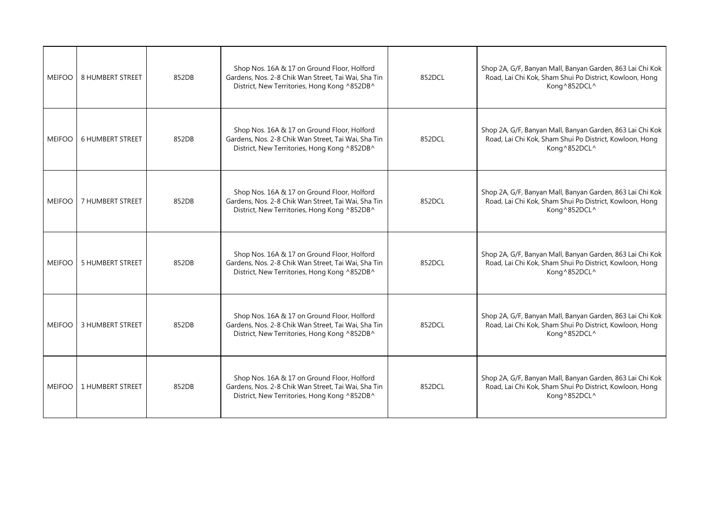| <b>MEIFOO</b> | <b>8 HUMBERT STREET</b> | 852DB | Shop Nos. 16A & 17 on Ground Floor, Holford<br>Gardens, Nos. 2-8 Chik Wan Street, Tai Wai, Sha Tin<br>District, New Territories, Hong Kong ^852DB^ | 852DCL | Shop 2A, G/F, Banyan Mall, Banyan Garden, 863 Lai Chi Kok<br>Road, Lai Chi Kok, Sham Shui Po District, Kowloon, Hong<br>Kong^852DCL^ |
|---------------|-------------------------|-------|----------------------------------------------------------------------------------------------------------------------------------------------------|--------|--------------------------------------------------------------------------------------------------------------------------------------|
| <b>MEIFOO</b> | <b>6 HUMBERT STREET</b> | 852DB | Shop Nos. 16A & 17 on Ground Floor, Holford<br>Gardens, Nos. 2-8 Chik Wan Street, Tai Wai, Sha Tin<br>District, New Territories, Hong Kong ^852DB^ | 852DCL | Shop 2A, G/F, Banyan Mall, Banyan Garden, 863 Lai Chi Kok<br>Road, Lai Chi Kok, Sham Shui Po District, Kowloon, Hong<br>Kong^852DCL^ |
| <b>MEIFOO</b> | 7 HUMBERT STREET        | 852DB | Shop Nos. 16A & 17 on Ground Floor, Holford<br>Gardens, Nos. 2-8 Chik Wan Street, Tai Wai, Sha Tin<br>District, New Territories, Hong Kong ^852DB^ | 852DCL | Shop 2A, G/F, Banyan Mall, Banyan Garden, 863 Lai Chi Kok<br>Road, Lai Chi Kok, Sham Shui Po District, Kowloon, Hong<br>Kong^852DCL^ |
| <b>MEIFOO</b> | <b>5 HUMBERT STREET</b> | 852DB | Shop Nos. 16A & 17 on Ground Floor, Holford<br>Gardens, Nos. 2-8 Chik Wan Street, Tai Wai, Sha Tin<br>District, New Territories, Hong Kong ^852DB^ | 852DCL | Shop 2A, G/F, Banyan Mall, Banyan Garden, 863 Lai Chi Kok<br>Road, Lai Chi Kok, Sham Shui Po District, Kowloon, Hong<br>Kong^852DCL^ |
| <b>MEIFOO</b> | 3 HUMBERT STREET        | 852DB | Shop Nos. 16A & 17 on Ground Floor, Holford<br>Gardens, Nos. 2-8 Chik Wan Street, Tai Wai, Sha Tin<br>District, New Territories, Hong Kong ^852DB^ | 852DCL | Shop 2A, G/F, Banyan Mall, Banyan Garden, 863 Lai Chi Kok<br>Road, Lai Chi Kok, Sham Shui Po District, Kowloon, Hong<br>Kong^852DCL^ |
| <b>MEIFOO</b> | 1 HUMBERT STREET        | 852DB | Shop Nos. 16A & 17 on Ground Floor, Holford<br>Gardens, Nos. 2-8 Chik Wan Street, Tai Wai, Sha Tin<br>District, New Territories, Hong Kong ^852DB^ | 852DCL | Shop 2A, G/F, Banyan Mall, Banyan Garden, 863 Lai Chi Kok<br>Road, Lai Chi Kok, Sham Shui Po District, Kowloon, Hong<br>Kong^852DCL^ |
|               |                         |       |                                                                                                                                                    |        |                                                                                                                                      |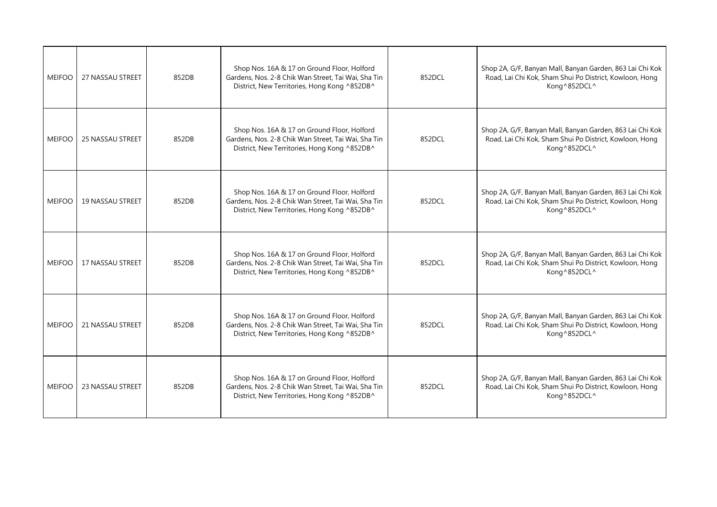| <b>MEIFOO</b> | <b>27 NASSAU STREET</b> | 852DB | Shop Nos. 16A & 17 on Ground Floor, Holford<br>Gardens, Nos. 2-8 Chik Wan Street, Tai Wai, Sha Tin<br>District, New Territories, Hong Kong ^852DB^ | 852DCL | Shop 2A, G/F, Banyan Mall, Banyan Garden, 863 Lai Chi Kok<br>Road, Lai Chi Kok, Sham Shui Po District, Kowloon, Hong<br>Kong^852DCL^ |
|---------------|-------------------------|-------|----------------------------------------------------------------------------------------------------------------------------------------------------|--------|--------------------------------------------------------------------------------------------------------------------------------------|
| <b>MEIFOO</b> | <b>25 NASSAU STREET</b> | 852DB | Shop Nos. 16A & 17 on Ground Floor, Holford<br>Gardens, Nos. 2-8 Chik Wan Street, Tai Wai, Sha Tin<br>District, New Territories, Hong Kong ^852DB^ | 852DCL | Shop 2A, G/F, Banyan Mall, Banyan Garden, 863 Lai Chi Kok<br>Road, Lai Chi Kok, Sham Shui Po District, Kowloon, Hong<br>Kong^852DCL^ |
| <b>MEIFOO</b> | <b>19 NASSAU STREET</b> | 852DB | Shop Nos. 16A & 17 on Ground Floor, Holford<br>Gardens, Nos. 2-8 Chik Wan Street, Tai Wai, Sha Tin<br>District, New Territories, Hong Kong ^852DB^ | 852DCL | Shop 2A, G/F, Banyan Mall, Banyan Garden, 863 Lai Chi Kok<br>Road, Lai Chi Kok, Sham Shui Po District, Kowloon, Hong<br>Kong^852DCL^ |
| <b>MEIFOO</b> | 17 NASSAU STREET        | 852DB | Shop Nos. 16A & 17 on Ground Floor, Holford<br>Gardens, Nos. 2-8 Chik Wan Street, Tai Wai, Sha Tin<br>District, New Territories, Hong Kong ^852DB^ | 852DCL | Shop 2A, G/F, Banyan Mall, Banyan Garden, 863 Lai Chi Kok<br>Road, Lai Chi Kok, Sham Shui Po District, Kowloon, Hong<br>Kong^852DCL^ |
| <b>MEIFOO</b> | <b>21 NASSAU STREET</b> | 852DB | Shop Nos. 16A & 17 on Ground Floor, Holford<br>Gardens, Nos. 2-8 Chik Wan Street, Tai Wai, Sha Tin<br>District, New Territories, Hong Kong ^852DB^ | 852DCL | Shop 2A, G/F, Banyan Mall, Banyan Garden, 863 Lai Chi Kok<br>Road, Lai Chi Kok, Sham Shui Po District, Kowloon, Hong<br>Kong^852DCL^ |
| <b>MEIFOO</b> | 23 NASSAU STREET        | 852DB | Shop Nos. 16A & 17 on Ground Floor, Holford<br>Gardens, Nos. 2-8 Chik Wan Street, Tai Wai, Sha Tin<br>District, New Territories, Hong Kong ^852DB^ | 852DCL | Shop 2A, G/F, Banyan Mall, Banyan Garden, 863 Lai Chi Kok<br>Road, Lai Chi Kok, Sham Shui Po District, Kowloon, Hong<br>Kong^852DCL^ |
|               |                         |       |                                                                                                                                                    |        |                                                                                                                                      |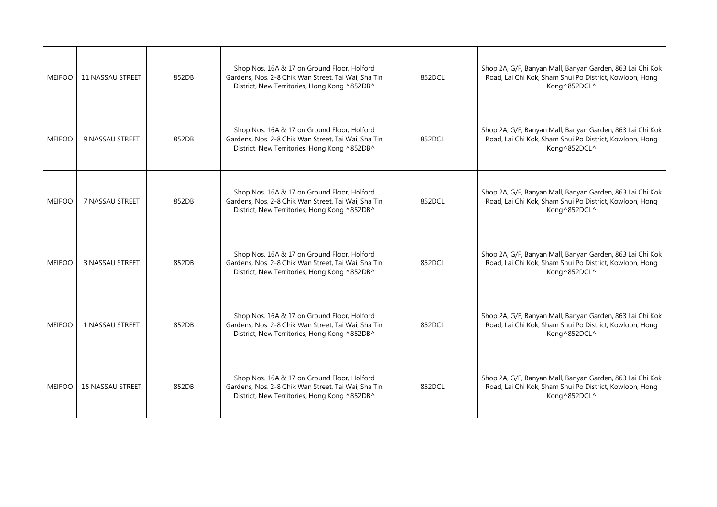| <b>MEIFOO</b> | <b>11 NASSAU STREET</b> | 852DB | Shop Nos. 16A & 17 on Ground Floor, Holford<br>Gardens, Nos. 2-8 Chik Wan Street, Tai Wai, Sha Tin<br>District, New Territories, Hong Kong ^852DB^ | 852DCL | Shop 2A, G/F, Banyan Mall, Banyan Garden, 863 Lai Chi Kok<br>Road, Lai Chi Kok, Sham Shui Po District, Kowloon, Hong<br>Kong^852DCL^ |
|---------------|-------------------------|-------|----------------------------------------------------------------------------------------------------------------------------------------------------|--------|--------------------------------------------------------------------------------------------------------------------------------------|
| <b>MEIFOO</b> | 9 NASSAU STREET         | 852DB | Shop Nos. 16A & 17 on Ground Floor, Holford<br>Gardens, Nos. 2-8 Chik Wan Street, Tai Wai, Sha Tin<br>District, New Territories, Hong Kong ^852DB^ | 852DCL | Shop 2A, G/F, Banyan Mall, Banyan Garden, 863 Lai Chi Kok<br>Road, Lai Chi Kok, Sham Shui Po District, Kowloon, Hong<br>Kong^852DCL^ |
| <b>MEIFOO</b> | 7 NASSAU STREET         | 852DB | Shop Nos. 16A & 17 on Ground Floor, Holford<br>Gardens, Nos. 2-8 Chik Wan Street, Tai Wai, Sha Tin<br>District, New Territories, Hong Kong ^852DB^ | 852DCL | Shop 2A, G/F, Banyan Mall, Banyan Garden, 863 Lai Chi Kok<br>Road, Lai Chi Kok, Sham Shui Po District, Kowloon, Hong<br>Kong^852DCL^ |
| <b>MEIFOO</b> | 3 NASSAU STREET         | 852DB | Shop Nos. 16A & 17 on Ground Floor, Holford<br>Gardens, Nos. 2-8 Chik Wan Street, Tai Wai, Sha Tin<br>District, New Territories, Hong Kong ^852DB^ | 852DCL | Shop 2A, G/F, Banyan Mall, Banyan Garden, 863 Lai Chi Kok<br>Road, Lai Chi Kok, Sham Shui Po District, Kowloon, Hong<br>Kong^852DCL^ |
| <b>MEIFOO</b> | 1 NASSAU STREET         | 852DB | Shop Nos. 16A & 17 on Ground Floor, Holford<br>Gardens, Nos. 2-8 Chik Wan Street, Tai Wai, Sha Tin<br>District, New Territories, Hong Kong ^852DB^ | 852DCL | Shop 2A, G/F, Banyan Mall, Banyan Garden, 863 Lai Chi Kok<br>Road, Lai Chi Kok, Sham Shui Po District, Kowloon, Hong<br>Kong^852DCL^ |
| <b>MEIFOO</b> | <b>15 NASSAU STREET</b> | 852DB | Shop Nos. 16A & 17 on Ground Floor, Holford<br>Gardens, Nos. 2-8 Chik Wan Street, Tai Wai, Sha Tin<br>District, New Territories, Hong Kong ^852DB^ | 852DCL | Shop 2A, G/F, Banyan Mall, Banyan Garden, 863 Lai Chi Kok<br>Road, Lai Chi Kok, Sham Shui Po District, Kowloon, Hong<br>Kong^852DCL^ |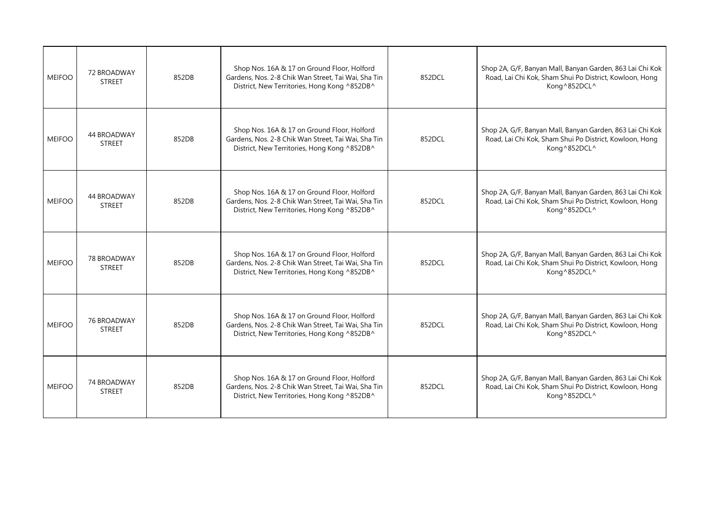| <b>MEIFOO</b> | 72 BROADWAY<br><b>STREET</b> | 852DB | Shop Nos. 16A & 17 on Ground Floor, Holford<br>Gardens, Nos. 2-8 Chik Wan Street, Tai Wai, Sha Tin<br>District, New Territories, Hong Kong ^852DB^ | 852DCL | Shop 2A, G/F, Banyan Mall, Banyan Garden, 863 Lai Chi Kok<br>Road, Lai Chi Kok, Sham Shui Po District, Kowloon, Hong<br>Kong^852DCL^ |
|---------------|------------------------------|-------|----------------------------------------------------------------------------------------------------------------------------------------------------|--------|--------------------------------------------------------------------------------------------------------------------------------------|
| <b>MEIFOO</b> | 44 BROADWAY<br><b>STREET</b> | 852DB | Shop Nos. 16A & 17 on Ground Floor, Holford<br>Gardens, Nos. 2-8 Chik Wan Street, Tai Wai, Sha Tin<br>District, New Territories, Hong Kong ^852DB^ | 852DCL | Shop 2A, G/F, Banyan Mall, Banyan Garden, 863 Lai Chi Kok<br>Road, Lai Chi Kok, Sham Shui Po District, Kowloon, Hong<br>Kong^852DCL^ |
| <b>MEIFOO</b> | 44 BROADWAY<br><b>STREET</b> | 852DB | Shop Nos. 16A & 17 on Ground Floor, Holford<br>Gardens, Nos. 2-8 Chik Wan Street, Tai Wai, Sha Tin<br>District, New Territories, Hong Kong ^852DB^ | 852DCL | Shop 2A, G/F, Banyan Mall, Banyan Garden, 863 Lai Chi Kok<br>Road, Lai Chi Kok, Sham Shui Po District, Kowloon, Hong<br>Kong^852DCL^ |
| <b>MEIFOO</b> | 78 BROADWAY<br><b>STREET</b> | 852DB | Shop Nos. 16A & 17 on Ground Floor, Holford<br>Gardens, Nos. 2-8 Chik Wan Street, Tai Wai, Sha Tin<br>District, New Territories, Hong Kong ^852DB^ | 852DCL | Shop 2A, G/F, Banyan Mall, Banyan Garden, 863 Lai Chi Kok<br>Road, Lai Chi Kok, Sham Shui Po District, Kowloon, Hong<br>Kong^852DCL^ |
| <b>MEIFOO</b> | 76 BROADWAY<br><b>STREET</b> | 852DB | Shop Nos. 16A & 17 on Ground Floor, Holford<br>Gardens, Nos. 2-8 Chik Wan Street, Tai Wai, Sha Tin<br>District, New Territories, Hong Kong ^852DB^ | 852DCL | Shop 2A, G/F, Banyan Mall, Banyan Garden, 863 Lai Chi Kok<br>Road, Lai Chi Kok, Sham Shui Po District, Kowloon, Hong<br>Kong^852DCL^ |
| <b>MEIFOO</b> | 74 BROADWAY<br><b>STREET</b> | 852DB | Shop Nos. 16A & 17 on Ground Floor, Holford<br>Gardens, Nos. 2-8 Chik Wan Street, Tai Wai, Sha Tin<br>District, New Territories, Hong Kong ^852DB^ | 852DCL | Shop 2A, G/F, Banyan Mall, Banyan Garden, 863 Lai Chi Kok<br>Road, Lai Chi Kok, Sham Shui Po District, Kowloon, Hong<br>Kong^852DCL^ |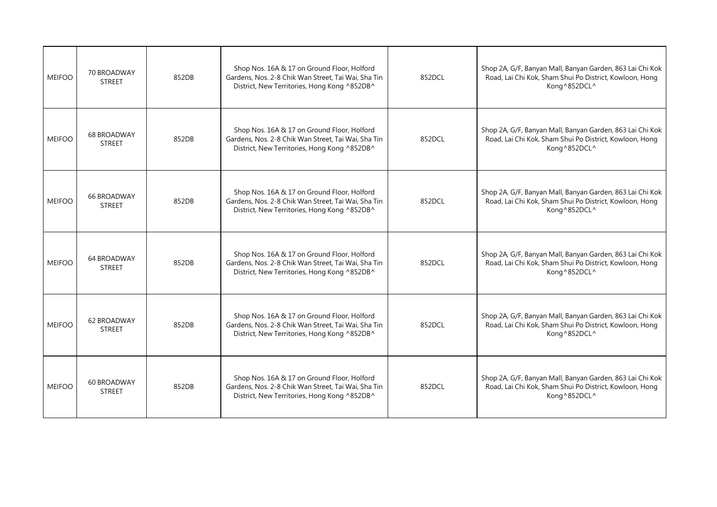| <b>MEIFOO</b> | 70 BROADWAY<br><b>STREET</b>        | 852DB | Shop Nos. 16A & 17 on Ground Floor, Holford<br>Gardens, Nos. 2-8 Chik Wan Street, Tai Wai, Sha Tin<br>District, New Territories, Hong Kong ^852DB^ | 852DCL | Shop 2A, G/F, Banyan Mall, Banyan Garden, 863 Lai Chi Kok<br>Road, Lai Chi Kok, Sham Shui Po District, Kowloon, Hong<br>Kong^852DCL^ |
|---------------|-------------------------------------|-------|----------------------------------------------------------------------------------------------------------------------------------------------------|--------|--------------------------------------------------------------------------------------------------------------------------------------|
| <b>MEIFOO</b> | <b>68 BROADWAY</b><br><b>STREET</b> | 852DB | Shop Nos. 16A & 17 on Ground Floor, Holford<br>Gardens, Nos. 2-8 Chik Wan Street, Tai Wai, Sha Tin<br>District, New Territories, Hong Kong ^852DB^ | 852DCL | Shop 2A, G/F, Banyan Mall, Banyan Garden, 863 Lai Chi Kok<br>Road, Lai Chi Kok, Sham Shui Po District, Kowloon, Hong<br>Kong^852DCL^ |
| <b>MEIFOO</b> | <b>66 BROADWAY</b><br><b>STREET</b> | 852DB | Shop Nos. 16A & 17 on Ground Floor, Holford<br>Gardens, Nos. 2-8 Chik Wan Street, Tai Wai, Sha Tin<br>District, New Territories, Hong Kong ^852DB^ | 852DCL | Shop 2A, G/F, Banyan Mall, Banyan Garden, 863 Lai Chi Kok<br>Road, Lai Chi Kok, Sham Shui Po District, Kowloon, Hong<br>Kong^852DCL^ |
| <b>MEIFOO</b> | 64 BROADWAY<br><b>STREET</b>        | 852DB | Shop Nos. 16A & 17 on Ground Floor, Holford<br>Gardens, Nos. 2-8 Chik Wan Street, Tai Wai, Sha Tin<br>District, New Territories, Hong Kong ^852DB^ | 852DCL | Shop 2A, G/F, Banyan Mall, Banyan Garden, 863 Lai Chi Kok<br>Road, Lai Chi Kok, Sham Shui Po District, Kowloon, Hong<br>Kong^852DCL^ |
| <b>MEIFOO</b> | 62 BROADWAY<br><b>STREET</b>        | 852DB | Shop Nos. 16A & 17 on Ground Floor, Holford<br>Gardens, Nos. 2-8 Chik Wan Street, Tai Wai, Sha Tin<br>District, New Territories, Hong Kong ^852DB^ | 852DCL | Shop 2A, G/F, Banyan Mall, Banyan Garden, 863 Lai Chi Kok<br>Road, Lai Chi Kok, Sham Shui Po District, Kowloon, Hong<br>Kong^852DCL^ |
| <b>MEIFOO</b> | 60 BROADWAY<br><b>STREET</b>        | 852DB | Shop Nos. 16A & 17 on Ground Floor, Holford<br>Gardens, Nos. 2-8 Chik Wan Street, Tai Wai, Sha Tin<br>District, New Territories, Hong Kong ^852DB^ | 852DCL | Shop 2A, G/F, Banyan Mall, Banyan Garden, 863 Lai Chi Kok<br>Road, Lai Chi Kok, Sham Shui Po District, Kowloon, Hong<br>Kong^852DCL^ |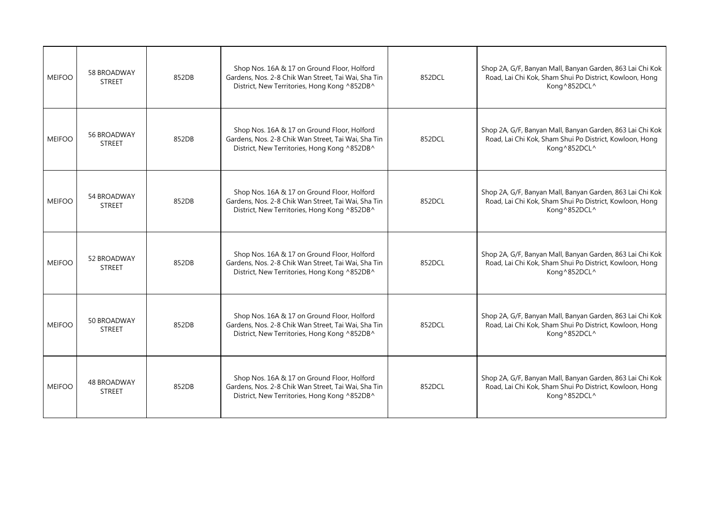| <b>MEIFOO</b> | 58 BROADWAY<br><b>STREET</b>        | 852DB | Shop Nos. 16A & 17 on Ground Floor, Holford<br>Gardens, Nos. 2-8 Chik Wan Street, Tai Wai, Sha Tin<br>District, New Territories, Hong Kong ^852DB^ | 852DCL | Shop 2A, G/F, Banyan Mall, Banyan Garden, 863 Lai Chi Kok<br>Road, Lai Chi Kok, Sham Shui Po District, Kowloon, Hong<br>Kong^852DCL^ |
|---------------|-------------------------------------|-------|----------------------------------------------------------------------------------------------------------------------------------------------------|--------|--------------------------------------------------------------------------------------------------------------------------------------|
| <b>MEIFOO</b> | 56 BROADWAY<br><b>STREET</b>        | 852DB | Shop Nos. 16A & 17 on Ground Floor, Holford<br>Gardens, Nos. 2-8 Chik Wan Street, Tai Wai, Sha Tin<br>District, New Territories, Hong Kong ^852DB^ | 852DCL | Shop 2A, G/F, Banyan Mall, Banyan Garden, 863 Lai Chi Kok<br>Road, Lai Chi Kok, Sham Shui Po District, Kowloon, Hong<br>Kong^852DCL^ |
| <b>MEIFOO</b> | 54 BROADWAY<br><b>STREET</b>        | 852DB | Shop Nos. 16A & 17 on Ground Floor, Holford<br>Gardens, Nos. 2-8 Chik Wan Street, Tai Wai, Sha Tin<br>District, New Territories, Hong Kong ^852DB^ | 852DCL | Shop 2A, G/F, Banyan Mall, Banyan Garden, 863 Lai Chi Kok<br>Road, Lai Chi Kok, Sham Shui Po District, Kowloon, Hong<br>Kong^852DCL^ |
| <b>MEIFOO</b> | 52 BROADWAY<br><b>STREET</b>        | 852DB | Shop Nos. 16A & 17 on Ground Floor, Holford<br>Gardens, Nos. 2-8 Chik Wan Street, Tai Wai, Sha Tin<br>District, New Territories, Hong Kong ^852DB^ | 852DCL | Shop 2A, G/F, Banyan Mall, Banyan Garden, 863 Lai Chi Kok<br>Road, Lai Chi Kok, Sham Shui Po District, Kowloon, Hong<br>Kong^852DCL^ |
| <b>MEIFOO</b> | 50 BROADWAY<br><b>STREET</b>        | 852DB | Shop Nos. 16A & 17 on Ground Floor, Holford<br>Gardens, Nos. 2-8 Chik Wan Street, Tai Wai, Sha Tin<br>District, New Territories, Hong Kong ^852DB^ | 852DCL | Shop 2A, G/F, Banyan Mall, Banyan Garden, 863 Lai Chi Kok<br>Road, Lai Chi Kok, Sham Shui Po District, Kowloon, Hong<br>Kong^852DCL^ |
| <b>MEIFOO</b> | <b>48 BROADWAY</b><br><b>STREET</b> | 852DB | Shop Nos. 16A & 17 on Ground Floor, Holford<br>Gardens, Nos. 2-8 Chik Wan Street, Tai Wai, Sha Tin<br>District, New Territories, Hong Kong ^852DB^ | 852DCL | Shop 2A, G/F, Banyan Mall, Banyan Garden, 863 Lai Chi Kok<br>Road, Lai Chi Kok, Sham Shui Po District, Kowloon, Hong<br>Kong^852DCL^ |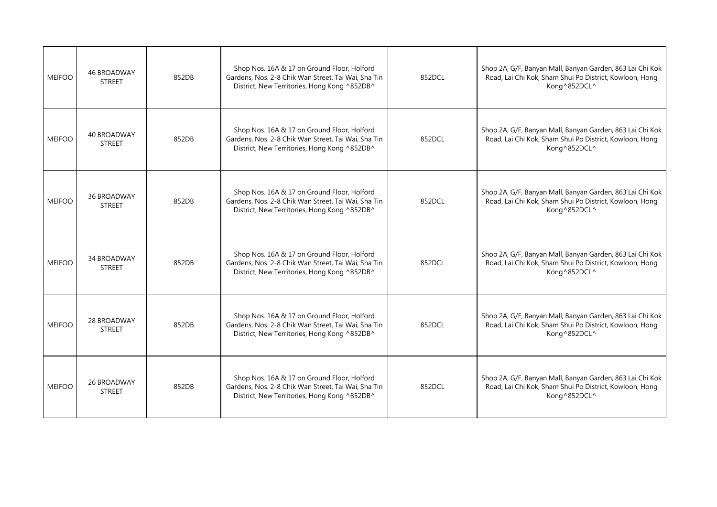| <b>MEIFOO</b> | <b>46 BROADWAY</b><br><b>STREET</b> | 852DB | Shop Nos. 16A & 17 on Ground Floor, Holford<br>Gardens, Nos. 2-8 Chik Wan Street, Tai Wai, Sha Tin<br>District, New Territories, Hong Kong ^852DB^ | 852DCL | Shop 2A, G/F, Banyan Mall, Banyan Garden, 863 Lai Chi Kok<br>Road, Lai Chi Kok, Sham Shui Po District, Kowloon, Hong<br>Kong^852DCL^ |
|---------------|-------------------------------------|-------|----------------------------------------------------------------------------------------------------------------------------------------------------|--------|--------------------------------------------------------------------------------------------------------------------------------------|
| <b>MEIFOO</b> | 40 BROADWAY<br><b>STREET</b>        | 852DB | Shop Nos. 16A & 17 on Ground Floor, Holford<br>Gardens, Nos. 2-8 Chik Wan Street, Tai Wai, Sha Tin<br>District, New Territories, Hong Kong ^852DB^ | 852DCL | Shop 2A, G/F, Banyan Mall, Banyan Garden, 863 Lai Chi Kok<br>Road, Lai Chi Kok, Sham Shui Po District, Kowloon, Hong<br>Kong^852DCL^ |
| <b>MEIFOO</b> | <b>36 BROADWAY</b><br><b>STREET</b> | 852DB | Shop Nos. 16A & 17 on Ground Floor, Holford<br>Gardens, Nos. 2-8 Chik Wan Street, Tai Wai, Sha Tin<br>District, New Territories, Hong Kong ^852DB^ | 852DCL | Shop 2A, G/F, Banyan Mall, Banyan Garden, 863 Lai Chi Kok<br>Road, Lai Chi Kok, Sham Shui Po District, Kowloon, Hong<br>Kong^852DCL^ |
| <b>MEIFOO</b> | 34 BROADWAY<br><b>STREET</b>        | 852DB | Shop Nos. 16A & 17 on Ground Floor, Holford<br>Gardens, Nos. 2-8 Chik Wan Street, Tai Wai, Sha Tin<br>District, New Territories, Hong Kong ^852DB^ | 852DCL | Shop 2A, G/F, Banyan Mall, Banyan Garden, 863 Lai Chi Kok<br>Road, Lai Chi Kok, Sham Shui Po District, Kowloon, Hong<br>Kong^852DCL^ |
| <b>MEIFOO</b> | 28 BROADWAY<br><b>STREET</b>        | 852DB | Shop Nos. 16A & 17 on Ground Floor, Holford<br>Gardens, Nos. 2-8 Chik Wan Street, Tai Wai, Sha Tin<br>District, New Territories, Hong Kong ^852DB^ | 852DCL | Shop 2A, G/F, Banyan Mall, Banyan Garden, 863 Lai Chi Kok<br>Road, Lai Chi Kok, Sham Shui Po District, Kowloon, Hong<br>Kong^852DCL^ |
| <b>MEIFOO</b> | 26 BROADWAY<br><b>STREET</b>        | 852DB | Shop Nos. 16A & 17 on Ground Floor, Holford<br>Gardens, Nos. 2-8 Chik Wan Street, Tai Wai, Sha Tin<br>District, New Territories, Hong Kong ^852DB^ | 852DCL | Shop 2A, G/F, Banyan Mall, Banyan Garden, 863 Lai Chi Kok<br>Road, Lai Chi Kok, Sham Shui Po District, Kowloon, Hong<br>Kong^852DCL^ |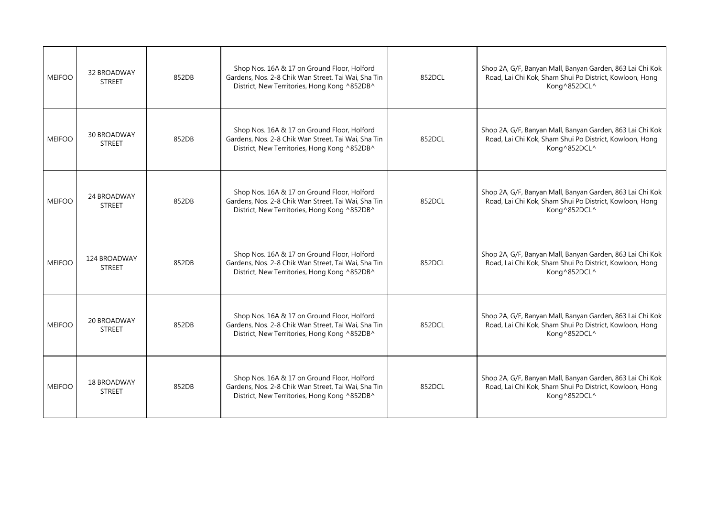| <b>MEIFOO</b> | 32 BROADWAY<br><b>STREET</b>        | 852DB | Shop Nos. 16A & 17 on Ground Floor, Holford<br>Gardens, Nos. 2-8 Chik Wan Street, Tai Wai, Sha Tin<br>District, New Territories, Hong Kong ^852DB^ | 852DCL | Shop 2A, G/F, Banyan Mall, Banyan Garden, 863 Lai Chi Kok<br>Road, Lai Chi Kok, Sham Shui Po District, Kowloon, Hong<br>Kong^852DCL^ |
|---------------|-------------------------------------|-------|----------------------------------------------------------------------------------------------------------------------------------------------------|--------|--------------------------------------------------------------------------------------------------------------------------------------|
| <b>MEIFOO</b> | <b>30 BROADWAY</b><br><b>STREET</b> | 852DB | Shop Nos. 16A & 17 on Ground Floor, Holford<br>Gardens, Nos. 2-8 Chik Wan Street, Tai Wai, Sha Tin<br>District, New Territories, Hong Kong ^852DB^ | 852DCL | Shop 2A, G/F, Banyan Mall, Banyan Garden, 863 Lai Chi Kok<br>Road, Lai Chi Kok, Sham Shui Po District, Kowloon, Hong<br>Kong^852DCL^ |
| <b>MEIFOO</b> | 24 BROADWAY<br><b>STREET</b>        | 852DB | Shop Nos. 16A & 17 on Ground Floor, Holford<br>Gardens, Nos. 2-8 Chik Wan Street, Tai Wai, Sha Tin<br>District, New Territories, Hong Kong ^852DB^ | 852DCL | Shop 2A, G/F, Banyan Mall, Banyan Garden, 863 Lai Chi Kok<br>Road, Lai Chi Kok, Sham Shui Po District, Kowloon, Hong<br>Kong^852DCL^ |
| <b>MEIFOO</b> | 124 BROADWAY<br><b>STREET</b>       | 852DB | Shop Nos. 16A & 17 on Ground Floor, Holford<br>Gardens, Nos. 2-8 Chik Wan Street, Tai Wai, Sha Tin<br>District, New Territories, Hong Kong ^852DB^ | 852DCL | Shop 2A, G/F, Banyan Mall, Banyan Garden, 863 Lai Chi Kok<br>Road, Lai Chi Kok, Sham Shui Po District, Kowloon, Hong<br>Kong^852DCL^ |
| <b>MEIFOO</b> | 20 BROADWAY<br><b>STREET</b>        | 852DB | Shop Nos. 16A & 17 on Ground Floor, Holford<br>Gardens, Nos. 2-8 Chik Wan Street, Tai Wai, Sha Tin<br>District, New Territories, Hong Kong ^852DB^ | 852DCL | Shop 2A, G/F, Banyan Mall, Banyan Garden, 863 Lai Chi Kok<br>Road, Lai Chi Kok, Sham Shui Po District, Kowloon, Hong<br>Kong^852DCL^ |
| <b>MEIFOO</b> | <b>18 BROADWAY</b><br><b>STREET</b> | 852DB | Shop Nos. 16A & 17 on Ground Floor, Holford<br>Gardens, Nos. 2-8 Chik Wan Street, Tai Wai, Sha Tin<br>District, New Territories, Hong Kong ^852DB^ | 852DCL | Shop 2A, G/F, Banyan Mall, Banyan Garden, 863 Lai Chi Kok<br>Road, Lai Chi Kok, Sham Shui Po District, Kowloon, Hong<br>Kong^852DCL^ |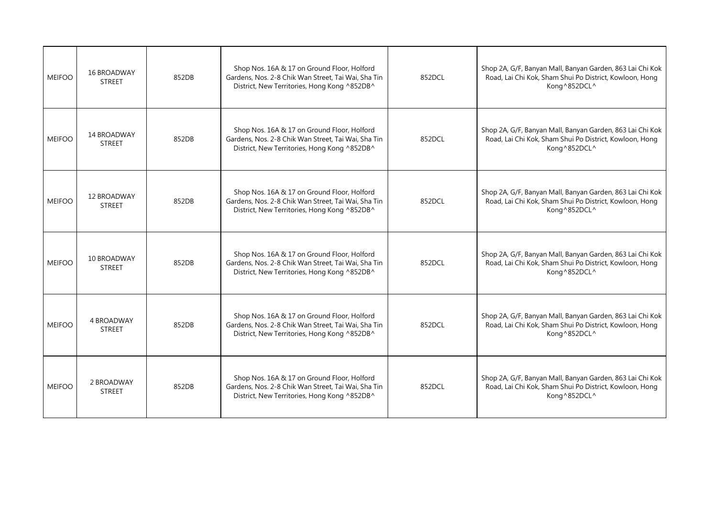| <b>MEIFOO</b> | <b>16 BROADWAY</b><br><b>STREET</b> | 852DB | Shop Nos. 16A & 17 on Ground Floor, Holford<br>Gardens, Nos. 2-8 Chik Wan Street, Tai Wai, Sha Tin<br>District, New Territories, Hong Kong ^852DB^ | 852DCL | Shop 2A, G/F, Banyan Mall, Banyan Garden, 863 Lai Chi Kok<br>Road, Lai Chi Kok, Sham Shui Po District, Kowloon, Hong<br>Kong^852DCL^ |
|---------------|-------------------------------------|-------|----------------------------------------------------------------------------------------------------------------------------------------------------|--------|--------------------------------------------------------------------------------------------------------------------------------------|
| <b>MEIFOO</b> | 14 BROADWAY<br><b>STREET</b>        | 852DB | Shop Nos. 16A & 17 on Ground Floor, Holford<br>Gardens, Nos. 2-8 Chik Wan Street, Tai Wai, Sha Tin<br>District, New Territories, Hong Kong ^852DB^ | 852DCL | Shop 2A, G/F, Banyan Mall, Banyan Garden, 863 Lai Chi Kok<br>Road, Lai Chi Kok, Sham Shui Po District, Kowloon, Hong<br>Kong^852DCL^ |
| <b>MEIFOO</b> | 12 BROADWAY<br><b>STREET</b>        | 852DB | Shop Nos. 16A & 17 on Ground Floor, Holford<br>Gardens, Nos. 2-8 Chik Wan Street, Tai Wai, Sha Tin<br>District, New Territories, Hong Kong ^852DB^ | 852DCL | Shop 2A, G/F, Banyan Mall, Banyan Garden, 863 Lai Chi Kok<br>Road, Lai Chi Kok, Sham Shui Po District, Kowloon, Hong<br>Kong^852DCL^ |
| <b>MEIFOO</b> | 10 BROADWAY<br><b>STREET</b>        | 852DB | Shop Nos. 16A & 17 on Ground Floor, Holford<br>Gardens, Nos. 2-8 Chik Wan Street, Tai Wai, Sha Tin<br>District, New Territories, Hong Kong ^852DB^ | 852DCL | Shop 2A, G/F, Banyan Mall, Banyan Garden, 863 Lai Chi Kok<br>Road, Lai Chi Kok, Sham Shui Po District, Kowloon, Hong<br>Kong^852DCL^ |
| <b>MEIFOO</b> | 4 BROADWAY<br><b>STREET</b>         | 852DB | Shop Nos. 16A & 17 on Ground Floor, Holford<br>Gardens, Nos. 2-8 Chik Wan Street, Tai Wai, Sha Tin<br>District, New Territories, Hong Kong ^852DB^ | 852DCL | Shop 2A, G/F, Banyan Mall, Banyan Garden, 863 Lai Chi Kok<br>Road, Lai Chi Kok, Sham Shui Po District, Kowloon, Hong<br>Kong^852DCL^ |
| <b>MEIFOO</b> | 2 BROADWAY<br><b>STREET</b>         | 852DB | Shop Nos. 16A & 17 on Ground Floor, Holford<br>Gardens, Nos. 2-8 Chik Wan Street, Tai Wai, Sha Tin<br>District, New Territories, Hong Kong ^852DB^ | 852DCL | Shop 2A, G/F, Banyan Mall, Banyan Garden, 863 Lai Chi Kok<br>Road, Lai Chi Kok, Sham Shui Po District, Kowloon, Hong<br>Kong^852DCL^ |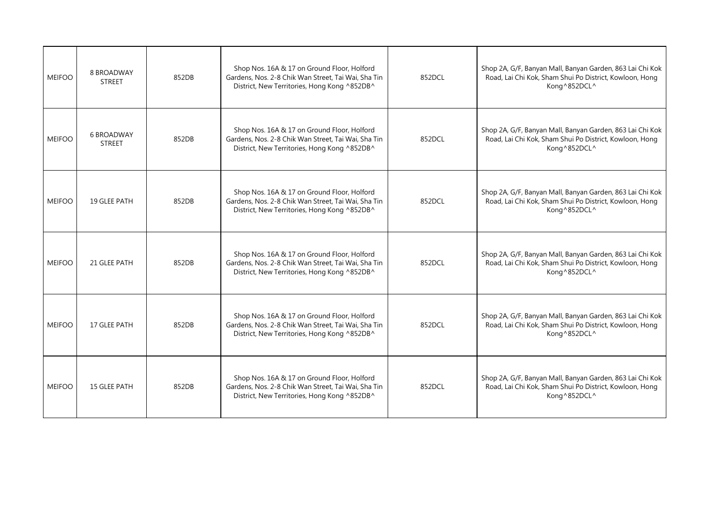| <b>MEIFOO</b> | 8 BROADWAY<br><b>STREET</b>        | 852DB | Shop Nos. 16A & 17 on Ground Floor, Holford<br>Gardens, Nos. 2-8 Chik Wan Street, Tai Wai, Sha Tin<br>District, New Territories, Hong Kong ^852DB^ | 852DCL | Shop 2A, G/F, Banyan Mall, Banyan Garden, 863 Lai Chi Kok<br>Road, Lai Chi Kok, Sham Shui Po District, Kowloon, Hong<br>Kong^852DCL^ |
|---------------|------------------------------------|-------|----------------------------------------------------------------------------------------------------------------------------------------------------|--------|--------------------------------------------------------------------------------------------------------------------------------------|
| <b>MEIFOO</b> | <b>6 BROADWAY</b><br><b>STREET</b> | 852DB | Shop Nos. 16A & 17 on Ground Floor, Holford<br>Gardens, Nos. 2-8 Chik Wan Street, Tai Wai, Sha Tin<br>District, New Territories, Hong Kong ^852DB^ | 852DCL | Shop 2A, G/F, Banyan Mall, Banyan Garden, 863 Lai Chi Kok<br>Road, Lai Chi Kok, Sham Shui Po District, Kowloon, Hong<br>Kong^852DCL^ |
| <b>MEIFOO</b> | 19 GLEE PATH                       | 852DB | Shop Nos. 16A & 17 on Ground Floor, Holford<br>Gardens, Nos. 2-8 Chik Wan Street, Tai Wai, Sha Tin<br>District, New Territories, Hong Kong ^852DB^ | 852DCL | Shop 2A, G/F, Banyan Mall, Banyan Garden, 863 Lai Chi Kok<br>Road, Lai Chi Kok, Sham Shui Po District, Kowloon, Hong<br>Kong^852DCL^ |
| <b>MEIFOO</b> | 21 GLEE PATH                       | 852DB | Shop Nos. 16A & 17 on Ground Floor, Holford<br>Gardens, Nos. 2-8 Chik Wan Street, Tai Wai, Sha Tin<br>District, New Territories, Hong Kong ^852DB^ | 852DCL | Shop 2A, G/F, Banyan Mall, Banyan Garden, 863 Lai Chi Kok<br>Road, Lai Chi Kok, Sham Shui Po District, Kowloon, Hong<br>Kong^852DCL^ |
| <b>MEIFOO</b> | 17 GLEE PATH                       | 852DB | Shop Nos. 16A & 17 on Ground Floor, Holford<br>Gardens, Nos. 2-8 Chik Wan Street, Tai Wai, Sha Tin<br>District, New Territories, Hong Kong ^852DB^ | 852DCL | Shop 2A, G/F, Banyan Mall, Banyan Garden, 863 Lai Chi Kok<br>Road, Lai Chi Kok, Sham Shui Po District, Kowloon, Hong<br>Kong^852DCL^ |
| <b>MEIFOO</b> | 15 GLEE PATH                       | 852DB | Shop Nos. 16A & 17 on Ground Floor, Holford<br>Gardens, Nos. 2-8 Chik Wan Street, Tai Wai, Sha Tin<br>District, New Territories, Hong Kong ^852DB^ | 852DCL | Shop 2A, G/F, Banyan Mall, Banyan Garden, 863 Lai Chi Kok<br>Road, Lai Chi Kok, Sham Shui Po District, Kowloon, Hong<br>Kong^852DCL^ |
|               |                                    |       |                                                                                                                                                    |        |                                                                                                                                      |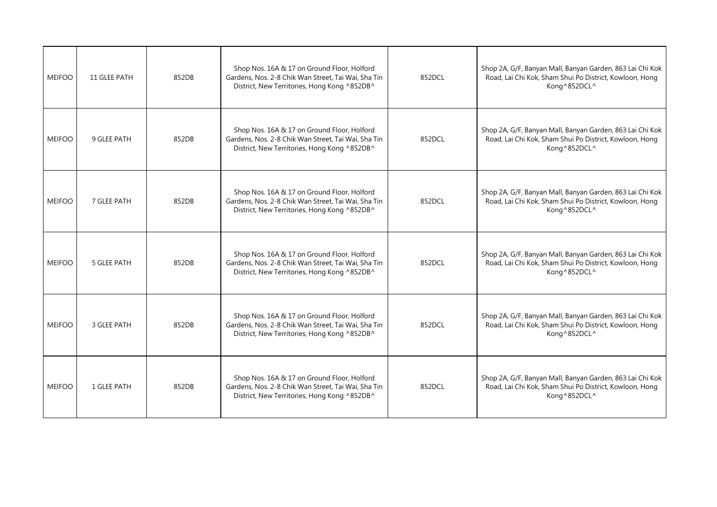| <b>MEIFOO</b> | 11 GLEE PATH | 852DB | Shop Nos. 16A & 17 on Ground Floor, Holford<br>Gardens, Nos. 2-8 Chik Wan Street, Tai Wai, Sha Tin<br>District, New Territories, Hong Kong ^852DB^ | 852DCL | Shop 2A, G/F, Banyan Mall, Banyan Garden, 863 Lai Chi Kok<br>Road, Lai Chi Kok, Sham Shui Po District, Kowloon, Hong<br>Kong^852DCL^ |
|---------------|--------------|-------|----------------------------------------------------------------------------------------------------------------------------------------------------|--------|--------------------------------------------------------------------------------------------------------------------------------------|
| <b>MEIFOO</b> | 9 GLEE PATH  | 852DB | Shop Nos. 16A & 17 on Ground Floor, Holford<br>Gardens, Nos. 2-8 Chik Wan Street, Tai Wai, Sha Tin<br>District, New Territories, Hong Kong ^852DB^ | 852DCL | Shop 2A, G/F, Banyan Mall, Banyan Garden, 863 Lai Chi Kok<br>Road, Lai Chi Kok, Sham Shui Po District, Kowloon, Hong<br>Kong^852DCL^ |
| <b>MEIFOO</b> | 7 GLEE PATH  | 852DB | Shop Nos. 16A & 17 on Ground Floor, Holford<br>Gardens, Nos. 2-8 Chik Wan Street, Tai Wai, Sha Tin<br>District, New Territories, Hong Kong ^852DB^ | 852DCL | Shop 2A, G/F, Banyan Mall, Banyan Garden, 863 Lai Chi Kok<br>Road, Lai Chi Kok, Sham Shui Po District, Kowloon, Hong<br>Kong^852DCL^ |
| <b>MEIFOO</b> | 5 GLEE PATH  | 852DB | Shop Nos. 16A & 17 on Ground Floor, Holford<br>Gardens, Nos. 2-8 Chik Wan Street, Tai Wai, Sha Tin<br>District, New Territories, Hong Kong ^852DB^ | 852DCL | Shop 2A, G/F, Banyan Mall, Banyan Garden, 863 Lai Chi Kok<br>Road, Lai Chi Kok, Sham Shui Po District, Kowloon, Hong<br>Kong^852DCL^ |
| <b>MEIFOO</b> | 3 GLEE PATH  | 852DB | Shop Nos. 16A & 17 on Ground Floor, Holford<br>Gardens, Nos. 2-8 Chik Wan Street, Tai Wai, Sha Tin<br>District, New Territories, Hong Kong ^852DB^ | 852DCL | Shop 2A, G/F, Banyan Mall, Banyan Garden, 863 Lai Chi Kok<br>Road, Lai Chi Kok, Sham Shui Po District, Kowloon, Hong<br>Kong^852DCL^ |
| <b>MEIFOO</b> | 1 GLEE PATH  | 852DB | Shop Nos. 16A & 17 on Ground Floor, Holford<br>Gardens, Nos. 2-8 Chik Wan Street, Tai Wai, Sha Tin<br>District, New Territories, Hong Kong ^852DB^ | 852DCL | Shop 2A, G/F, Banyan Mall, Banyan Garden, 863 Lai Chi Kok<br>Road, Lai Chi Kok, Sham Shui Po District, Kowloon, Hong<br>Kong^852DCL^ |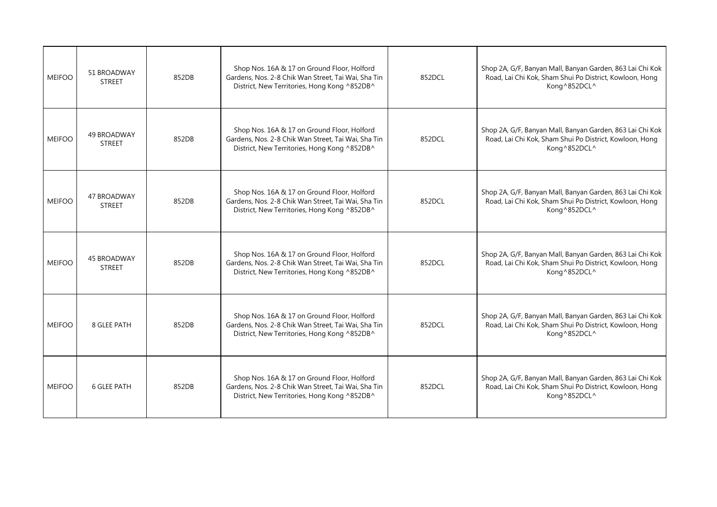| <b>MEIFOO</b> | 51 BROADWAY<br><b>STREET</b>        | 852DB | Shop Nos. 16A & 17 on Ground Floor, Holford<br>Gardens, Nos. 2-8 Chik Wan Street, Tai Wai, Sha Tin<br>District, New Territories, Hong Kong ^852DB^ | 852DCL | Shop 2A, G/F, Banyan Mall, Banyan Garden, 863 Lai Chi Kok<br>Road, Lai Chi Kok, Sham Shui Po District, Kowloon, Hong<br>Kong^852DCL^ |
|---------------|-------------------------------------|-------|----------------------------------------------------------------------------------------------------------------------------------------------------|--------|--------------------------------------------------------------------------------------------------------------------------------------|
| <b>MEIFOO</b> | 49 BROADWAY<br><b>STREET</b>        | 852DB | Shop Nos. 16A & 17 on Ground Floor, Holford<br>Gardens, Nos. 2-8 Chik Wan Street, Tai Wai, Sha Tin<br>District, New Territories, Hong Kong ^852DB^ | 852DCL | Shop 2A, G/F, Banyan Mall, Banyan Garden, 863 Lai Chi Kok<br>Road, Lai Chi Kok, Sham Shui Po District, Kowloon, Hong<br>Kong^852DCL^ |
| <b>MEIFOO</b> | 47 BROADWAY<br><b>STREET</b>        | 852DB | Shop Nos. 16A & 17 on Ground Floor, Holford<br>Gardens, Nos. 2-8 Chik Wan Street, Tai Wai, Sha Tin<br>District, New Territories, Hong Kong ^852DB^ | 852DCL | Shop 2A, G/F, Banyan Mall, Banyan Garden, 863 Lai Chi Kok<br>Road, Lai Chi Kok, Sham Shui Po District, Kowloon, Hong<br>Kong^852DCL^ |
| <b>MEIFOO</b> | <b>45 BROADWAY</b><br><b>STREET</b> | 852DB | Shop Nos. 16A & 17 on Ground Floor, Holford<br>Gardens, Nos. 2-8 Chik Wan Street, Tai Wai, Sha Tin<br>District, New Territories, Hong Kong ^852DB^ | 852DCL | Shop 2A, G/F, Banyan Mall, Banyan Garden, 863 Lai Chi Kok<br>Road, Lai Chi Kok, Sham Shui Po District, Kowloon, Hong<br>Kong^852DCL^ |
| <b>MEIFOO</b> | 8 GLEE PATH                         | 852DB | Shop Nos. 16A & 17 on Ground Floor, Holford<br>Gardens, Nos. 2-8 Chik Wan Street, Tai Wai, Sha Tin<br>District, New Territories, Hong Kong ^852DB^ | 852DCL | Shop 2A, G/F, Banyan Mall, Banyan Garden, 863 Lai Chi Kok<br>Road, Lai Chi Kok, Sham Shui Po District, Kowloon, Hong<br>Kong^852DCL^ |
| <b>MEIFOO</b> | <b>6 GLEE PATH</b>                  | 852DB | Shop Nos. 16A & 17 on Ground Floor, Holford<br>Gardens, Nos. 2-8 Chik Wan Street, Tai Wai, Sha Tin<br>District, New Territories, Hong Kong ^852DB^ | 852DCL | Shop 2A, G/F, Banyan Mall, Banyan Garden, 863 Lai Chi Kok<br>Road, Lai Chi Kok, Sham Shui Po District, Kowloon, Hong<br>Kong^852DCL^ |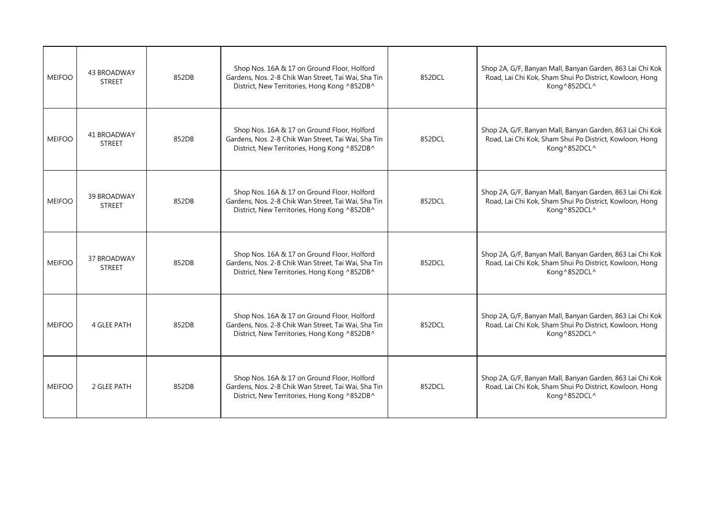| <b>MEIFOO</b> | <b>43 BROADWAY</b><br><b>STREET</b> | 852DB | Shop Nos. 16A & 17 on Ground Floor, Holford<br>Gardens, Nos. 2-8 Chik Wan Street, Tai Wai, Sha Tin<br>District, New Territories, Hong Kong ^852DB^ | 852DCL | Shop 2A, G/F, Banyan Mall, Banyan Garden, 863 Lai Chi Kok<br>Road, Lai Chi Kok, Sham Shui Po District, Kowloon, Hong<br>Kong^852DCL^ |
|---------------|-------------------------------------|-------|----------------------------------------------------------------------------------------------------------------------------------------------------|--------|--------------------------------------------------------------------------------------------------------------------------------------|
| <b>MEIFOO</b> | 41 BROADWAY<br><b>STREET</b>        | 852DB | Shop Nos. 16A & 17 on Ground Floor, Holford<br>Gardens, Nos. 2-8 Chik Wan Street, Tai Wai, Sha Tin<br>District, New Territories, Hong Kong ^852DB^ | 852DCL | Shop 2A, G/F, Banyan Mall, Banyan Garden, 863 Lai Chi Kok<br>Road, Lai Chi Kok, Sham Shui Po District, Kowloon, Hong<br>Kong^852DCL^ |
| <b>MEIFOO</b> | 39 BROADWAY<br><b>STREET</b>        | 852DB | Shop Nos. 16A & 17 on Ground Floor, Holford<br>Gardens, Nos. 2-8 Chik Wan Street, Tai Wai, Sha Tin<br>District, New Territories, Hong Kong ^852DB^ | 852DCL | Shop 2A, G/F, Banyan Mall, Banyan Garden, 863 Lai Chi Kok<br>Road, Lai Chi Kok, Sham Shui Po District, Kowloon, Hong<br>Kong^852DCL^ |
| <b>MEIFOO</b> | <b>37 BROADWAY</b><br><b>STREET</b> | 852DB | Shop Nos. 16A & 17 on Ground Floor, Holford<br>Gardens, Nos. 2-8 Chik Wan Street, Tai Wai, Sha Tin<br>District, New Territories, Hong Kong ^852DB^ | 852DCL | Shop 2A, G/F, Banyan Mall, Banyan Garden, 863 Lai Chi Kok<br>Road, Lai Chi Kok, Sham Shui Po District, Kowloon, Hong<br>Kong^852DCL^ |
| <b>MEIFOO</b> | <b>4 GLEE PATH</b>                  | 852DB | Shop Nos. 16A & 17 on Ground Floor, Holford<br>Gardens, Nos. 2-8 Chik Wan Street, Tai Wai, Sha Tin<br>District, New Territories, Hong Kong ^852DB^ | 852DCL | Shop 2A, G/F, Banyan Mall, Banyan Garden, 863 Lai Chi Kok<br>Road, Lai Chi Kok, Sham Shui Po District, Kowloon, Hong<br>Kong^852DCL^ |
| <b>MEIFOO</b> | 2 GLEE PATH                         | 852DB | Shop Nos. 16A & 17 on Ground Floor, Holford<br>Gardens, Nos. 2-8 Chik Wan Street, Tai Wai, Sha Tin<br>District, New Territories, Hong Kong ^852DB^ | 852DCL | Shop 2A, G/F, Banyan Mall, Banyan Garden, 863 Lai Chi Kok<br>Road, Lai Chi Kok, Sham Shui Po District, Kowloon, Hong<br>Kong^852DCL^ |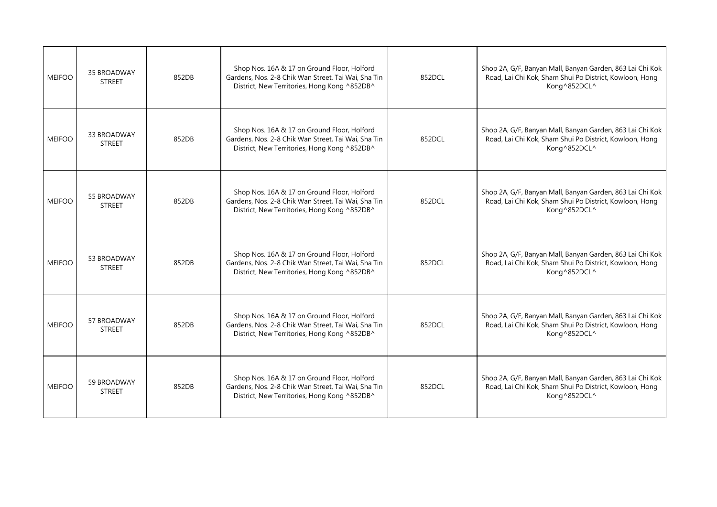| <b>MEIFOO</b> | <b>35 BROADWAY</b><br><b>STREET</b> | 852DB | Shop Nos. 16A & 17 on Ground Floor, Holford<br>Gardens, Nos. 2-8 Chik Wan Street, Tai Wai, Sha Tin<br>District, New Territories, Hong Kong ^852DB^ | 852DCL | Shop 2A, G/F, Banyan Mall, Banyan Garden, 863 Lai Chi Kok<br>Road, Lai Chi Kok, Sham Shui Po District, Kowloon, Hong<br>Kong^852DCL^ |
|---------------|-------------------------------------|-------|----------------------------------------------------------------------------------------------------------------------------------------------------|--------|--------------------------------------------------------------------------------------------------------------------------------------|
| <b>MEIFOO</b> | 33 BROADWAY<br><b>STREET</b>        | 852DB | Shop Nos. 16A & 17 on Ground Floor, Holford<br>Gardens, Nos. 2-8 Chik Wan Street, Tai Wai, Sha Tin<br>District, New Territories, Hong Kong ^852DB^ | 852DCL | Shop 2A, G/F, Banyan Mall, Banyan Garden, 863 Lai Chi Kok<br>Road, Lai Chi Kok, Sham Shui Po District, Kowloon, Hong<br>Kong^852DCL^ |
| <b>MEIFOO</b> | 55 BROADWAY<br><b>STREET</b>        | 852DB | Shop Nos. 16A & 17 on Ground Floor, Holford<br>Gardens, Nos. 2-8 Chik Wan Street, Tai Wai, Sha Tin<br>District, New Territories, Hong Kong ^852DB^ | 852DCL | Shop 2A, G/F, Banyan Mall, Banyan Garden, 863 Lai Chi Kok<br>Road, Lai Chi Kok, Sham Shui Po District, Kowloon, Hong<br>Kong^852DCL^ |
| <b>MEIFOO</b> | 53 BROADWAY<br><b>STREET</b>        | 852DB | Shop Nos. 16A & 17 on Ground Floor, Holford<br>Gardens, Nos. 2-8 Chik Wan Street, Tai Wai, Sha Tin<br>District, New Territories, Hong Kong ^852DB^ | 852DCL | Shop 2A, G/F, Banyan Mall, Banyan Garden, 863 Lai Chi Kok<br>Road, Lai Chi Kok, Sham Shui Po District, Kowloon, Hong<br>Kong^852DCL^ |
| <b>MEIFOO</b> | 57 BROADWAY<br><b>STREET</b>        | 852DB | Shop Nos. 16A & 17 on Ground Floor, Holford<br>Gardens, Nos. 2-8 Chik Wan Street, Tai Wai, Sha Tin<br>District, New Territories, Hong Kong ^852DB^ | 852DCL | Shop 2A, G/F, Banyan Mall, Banyan Garden, 863 Lai Chi Kok<br>Road, Lai Chi Kok, Sham Shui Po District, Kowloon, Hong<br>Kong^852DCL^ |
| <b>MEIFOO</b> | 59 BROADWAY<br><b>STREET</b>        | 852DB | Shop Nos. 16A & 17 on Ground Floor, Holford<br>Gardens, Nos. 2-8 Chik Wan Street, Tai Wai, Sha Tin<br>District, New Territories, Hong Kong ^852DB^ | 852DCL | Shop 2A, G/F, Banyan Mall, Banyan Garden, 863 Lai Chi Kok<br>Road, Lai Chi Kok, Sham Shui Po District, Kowloon, Hong<br>Kong^852DCL^ |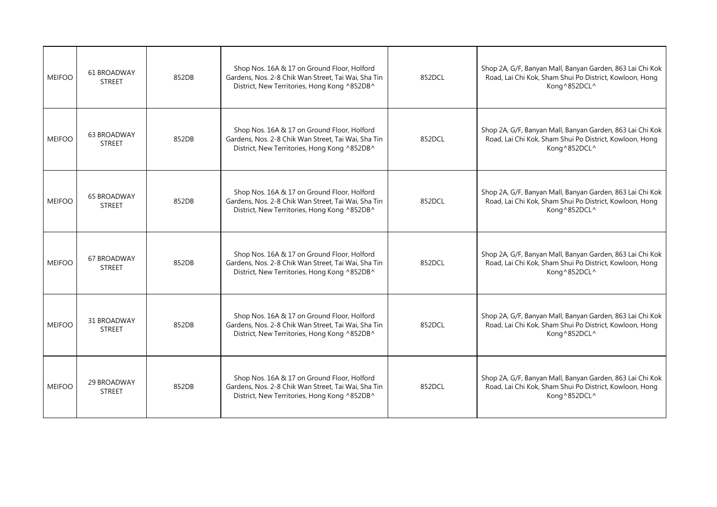| <b>MEIFOO</b> | 61 BROADWAY<br><b>STREET</b>        | 852DB | Shop Nos. 16A & 17 on Ground Floor, Holford<br>Gardens, Nos. 2-8 Chik Wan Street, Tai Wai, Sha Tin<br>District, New Territories, Hong Kong ^852DB^ | 852DCL | Shop 2A, G/F, Banyan Mall, Banyan Garden, 863 Lai Chi Kok<br>Road, Lai Chi Kok, Sham Shui Po District, Kowloon, Hong<br>Kong^852DCL^ |
|---------------|-------------------------------------|-------|----------------------------------------------------------------------------------------------------------------------------------------------------|--------|--------------------------------------------------------------------------------------------------------------------------------------|
| <b>MEIFOO</b> | <b>63 BROADWAY</b><br><b>STREET</b> | 852DB | Shop Nos. 16A & 17 on Ground Floor, Holford<br>Gardens, Nos. 2-8 Chik Wan Street, Tai Wai, Sha Tin<br>District, New Territories, Hong Kong ^852DB^ | 852DCL | Shop 2A, G/F, Banyan Mall, Banyan Garden, 863 Lai Chi Kok<br>Road, Lai Chi Kok, Sham Shui Po District, Kowloon, Hong<br>Kong^852DCL^ |
| <b>MEIFOO</b> | <b>65 BROADWAY</b><br><b>STREET</b> | 852DB | Shop Nos. 16A & 17 on Ground Floor, Holford<br>Gardens, Nos. 2-8 Chik Wan Street, Tai Wai, Sha Tin<br>District, New Territories, Hong Kong ^852DB^ | 852DCL | Shop 2A, G/F, Banyan Mall, Banyan Garden, 863 Lai Chi Kok<br>Road, Lai Chi Kok, Sham Shui Po District, Kowloon, Hong<br>Kong^852DCL^ |
| <b>MEIFOO</b> | 67 BROADWAY<br><b>STREET</b>        | 852DB | Shop Nos. 16A & 17 on Ground Floor, Holford<br>Gardens, Nos. 2-8 Chik Wan Street, Tai Wai, Sha Tin<br>District, New Territories, Hong Kong ^852DB^ | 852DCL | Shop 2A, G/F, Banyan Mall, Banyan Garden, 863 Lai Chi Kok<br>Road, Lai Chi Kok, Sham Shui Po District, Kowloon, Hong<br>Kong^852DCL^ |
| <b>MEIFOO</b> | 31 BROADWAY<br><b>STREET</b>        | 852DB | Shop Nos. 16A & 17 on Ground Floor, Holford<br>Gardens, Nos. 2-8 Chik Wan Street, Tai Wai, Sha Tin<br>District, New Territories, Hong Kong ^852DB^ | 852DCL | Shop 2A, G/F, Banyan Mall, Banyan Garden, 863 Lai Chi Kok<br>Road, Lai Chi Kok, Sham Shui Po District, Kowloon, Hong<br>Kong^852DCL^ |
| <b>MEIFOO</b> | 29 BROADWAY<br><b>STREET</b>        | 852DB | Shop Nos. 16A & 17 on Ground Floor, Holford<br>Gardens, Nos. 2-8 Chik Wan Street, Tai Wai, Sha Tin<br>District, New Territories, Hong Kong ^852DB^ | 852DCL | Shop 2A, G/F, Banyan Mall, Banyan Garden, 863 Lai Chi Kok<br>Road, Lai Chi Kok, Sham Shui Po District, Kowloon, Hong<br>Kong^852DCL^ |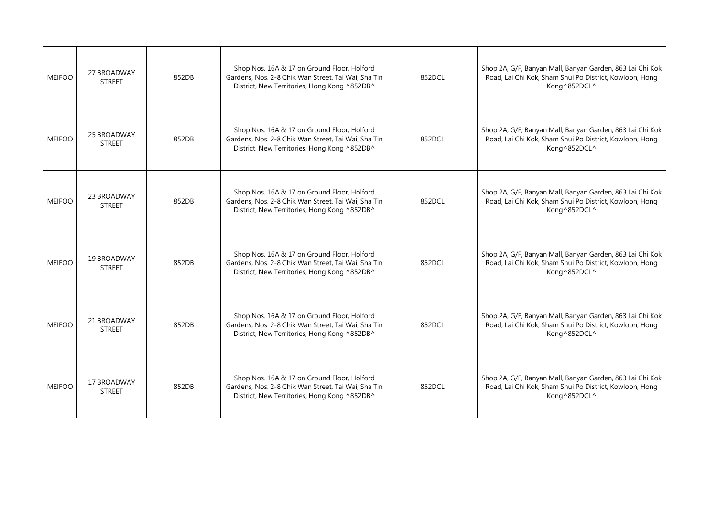| <b>MEIFOO</b> | 27 BROADWAY<br><b>STREET</b>        | 852DB | Shop Nos. 16A & 17 on Ground Floor, Holford<br>Gardens, Nos. 2-8 Chik Wan Street, Tai Wai, Sha Tin<br>District, New Territories, Hong Kong ^852DB^ | 852DCL | Shop 2A, G/F, Banyan Mall, Banyan Garden, 863 Lai Chi Kok<br>Road, Lai Chi Kok, Sham Shui Po District, Kowloon, Hong<br>Kong^852DCL^ |
|---------------|-------------------------------------|-------|----------------------------------------------------------------------------------------------------------------------------------------------------|--------|--------------------------------------------------------------------------------------------------------------------------------------|
| <b>MEIFOO</b> | <b>25 BROADWAY</b><br><b>STREET</b> | 852DB | Shop Nos. 16A & 17 on Ground Floor, Holford<br>Gardens, Nos. 2-8 Chik Wan Street, Tai Wai, Sha Tin<br>District, New Territories, Hong Kong ^852DB^ | 852DCL | Shop 2A, G/F, Banyan Mall, Banyan Garden, 863 Lai Chi Kok<br>Road, Lai Chi Kok, Sham Shui Po District, Kowloon, Hong<br>Kong^852DCL^ |
| <b>MEIFOO</b> | 23 BROADWAY<br><b>STREET</b>        | 852DB | Shop Nos. 16A & 17 on Ground Floor, Holford<br>Gardens, Nos. 2-8 Chik Wan Street, Tai Wai, Sha Tin<br>District, New Territories, Hong Kong ^852DB^ | 852DCL | Shop 2A, G/F, Banyan Mall, Banyan Garden, 863 Lai Chi Kok<br>Road, Lai Chi Kok, Sham Shui Po District, Kowloon, Hong<br>Kong^852DCL^ |
| <b>MEIFOO</b> | 19 BROADWAY<br><b>STREET</b>        | 852DB | Shop Nos. 16A & 17 on Ground Floor, Holford<br>Gardens, Nos. 2-8 Chik Wan Street, Tai Wai, Sha Tin<br>District, New Territories, Hong Kong ^852DB^ | 852DCL | Shop 2A, G/F, Banyan Mall, Banyan Garden, 863 Lai Chi Kok<br>Road, Lai Chi Kok, Sham Shui Po District, Kowloon, Hong<br>Kong^852DCL^ |
| <b>MEIFOO</b> | 21 BROADWAY<br><b>STREET</b>        | 852DB | Shop Nos. 16A & 17 on Ground Floor, Holford<br>Gardens, Nos. 2-8 Chik Wan Street, Tai Wai, Sha Tin<br>District, New Territories, Hong Kong ^852DB^ | 852DCL | Shop 2A, G/F, Banyan Mall, Banyan Garden, 863 Lai Chi Kok<br>Road, Lai Chi Kok, Sham Shui Po District, Kowloon, Hong<br>Kong^852DCL^ |
| <b>MEIFOO</b> | 17 BROADWAY<br><b>STREET</b>        | 852DB | Shop Nos. 16A & 17 on Ground Floor, Holford<br>Gardens, Nos. 2-8 Chik Wan Street, Tai Wai, Sha Tin<br>District, New Territories, Hong Kong ^852DB^ | 852DCL | Shop 2A, G/F, Banyan Mall, Banyan Garden, 863 Lai Chi Kok<br>Road, Lai Chi Kok, Sham Shui Po District, Kowloon, Hong<br>Kong^852DCL^ |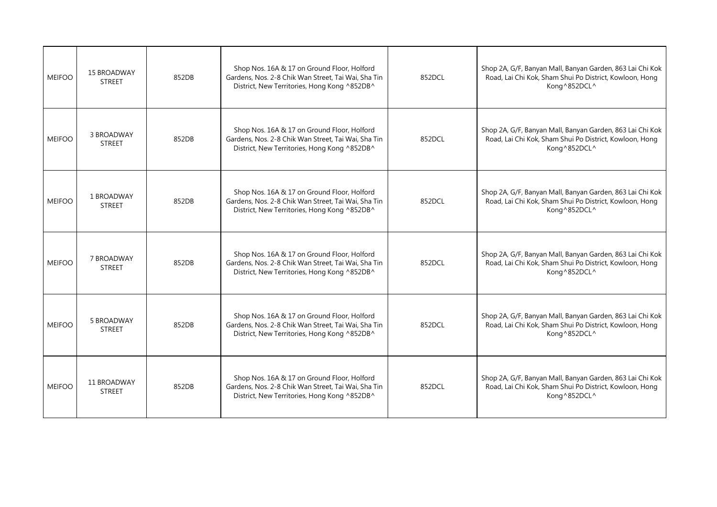| <b>MEIFOO</b> | <b>15 BROADWAY</b><br><b>STREET</b> | 852DB | Shop Nos. 16A & 17 on Ground Floor, Holford<br>Gardens, Nos. 2-8 Chik Wan Street, Tai Wai, Sha Tin<br>District, New Territories, Hong Kong ^852DB^ | 852DCL | Shop 2A, G/F, Banyan Mall, Banyan Garden, 863 Lai Chi Kok<br>Road, Lai Chi Kok, Sham Shui Po District, Kowloon, Hong<br>Kong^852DCL^ |
|---------------|-------------------------------------|-------|----------------------------------------------------------------------------------------------------------------------------------------------------|--------|--------------------------------------------------------------------------------------------------------------------------------------|
| <b>MEIFOO</b> | 3 BROADWAY<br><b>STREET</b>         | 852DB | Shop Nos. 16A & 17 on Ground Floor, Holford<br>Gardens, Nos. 2-8 Chik Wan Street, Tai Wai, Sha Tin<br>District, New Territories, Hong Kong ^852DB^ | 852DCL | Shop 2A, G/F, Banyan Mall, Banyan Garden, 863 Lai Chi Kok<br>Road, Lai Chi Kok, Sham Shui Po District, Kowloon, Hong<br>Kong^852DCL^ |
| <b>MEIFOO</b> | 1 BROADWAY<br><b>STREET</b>         | 852DB | Shop Nos. 16A & 17 on Ground Floor, Holford<br>Gardens, Nos. 2-8 Chik Wan Street, Tai Wai, Sha Tin<br>District, New Territories, Hong Kong ^852DB^ | 852DCL | Shop 2A, G/F, Banyan Mall, Banyan Garden, 863 Lai Chi Kok<br>Road, Lai Chi Kok, Sham Shui Po District, Kowloon, Hong<br>Kong^852DCL^ |
| <b>MEIFOO</b> | 7 BROADWAY<br><b>STREET</b>         | 852DB | Shop Nos. 16A & 17 on Ground Floor, Holford<br>Gardens, Nos. 2-8 Chik Wan Street, Tai Wai, Sha Tin<br>District, New Territories, Hong Kong ^852DB^ | 852DCL | Shop 2A, G/F, Banyan Mall, Banyan Garden, 863 Lai Chi Kok<br>Road, Lai Chi Kok, Sham Shui Po District, Kowloon, Hong<br>Kong^852DCL^ |
| <b>MEIFOO</b> | 5 BROADWAY<br><b>STREET</b>         | 852DB | Shop Nos. 16A & 17 on Ground Floor, Holford<br>Gardens, Nos. 2-8 Chik Wan Street, Tai Wai, Sha Tin<br>District, New Territories, Hong Kong ^852DB^ | 852DCL | Shop 2A, G/F, Banyan Mall, Banyan Garden, 863 Lai Chi Kok<br>Road, Lai Chi Kok, Sham Shui Po District, Kowloon, Hong<br>Kong^852DCL^ |
| <b>MEIFOO</b> | 11 BROADWAY<br><b>STREET</b>        | 852DB | Shop Nos. 16A & 17 on Ground Floor, Holford<br>Gardens, Nos. 2-8 Chik Wan Street, Tai Wai, Sha Tin<br>District, New Territories, Hong Kong ^852DB^ | 852DCL | Shop 2A, G/F, Banyan Mall, Banyan Garden, 863 Lai Chi Kok<br>Road, Lai Chi Kok, Sham Shui Po District, Kowloon, Hong<br>Kong^852DCL^ |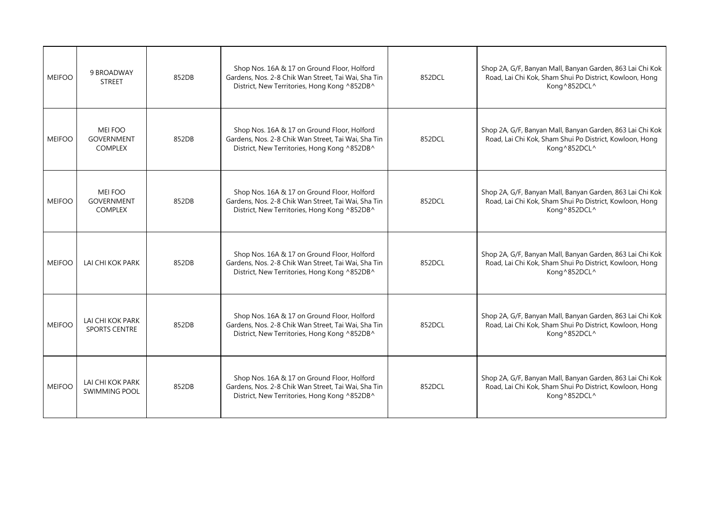| 9 BROADWAY<br><b>STREET</b>                           | 852DB                                                                                              | Shop Nos. 16A & 17 on Ground Floor, Holford<br>Gardens, Nos. 2-8 Chik Wan Street, Tai Wai, Sha Tin<br>District, New Territories, Hong Kong ^852DB^ | 852DCL | Shop 2A, G/F, Banyan Mall, Banyan Garden, 863 Lai Chi Kok<br>Road, Lai Chi Kok, Sham Shui Po District, Kowloon, Hong<br>Kong^852DCL^ |
|-------------------------------------------------------|----------------------------------------------------------------------------------------------------|----------------------------------------------------------------------------------------------------------------------------------------------------|--------|--------------------------------------------------------------------------------------------------------------------------------------|
| MEI FOO<br><b>GOVERNMENT</b><br><b>COMPLEX</b>        | 852DB                                                                                              | Shop Nos. 16A & 17 on Ground Floor, Holford<br>Gardens, Nos. 2-8 Chik Wan Street, Tai Wai, Sha Tin<br>District, New Territories, Hong Kong ^852DB^ | 852DCL | Shop 2A, G/F, Banyan Mall, Banyan Garden, 863 Lai Chi Kok<br>Road, Lai Chi Kok, Sham Shui Po District, Kowloon, Hong<br>Kong^852DCL^ |
| <b>MEI FOO</b><br><b>GOVERNMENT</b><br><b>COMPLEX</b> | 852DB                                                                                              | Shop Nos. 16A & 17 on Ground Floor, Holford<br>Gardens, Nos. 2-8 Chik Wan Street, Tai Wai, Sha Tin<br>District, New Territories, Hong Kong ^852DB^ | 852DCL | Shop 2A, G/F, Banyan Mall, Banyan Garden, 863 Lai Chi Kok<br>Road, Lai Chi Kok, Sham Shui Po District, Kowloon, Hong<br>Kong^852DCL^ |
| LAI CHI KOK PARK                                      | 852DB                                                                                              | Shop Nos. 16A & 17 on Ground Floor, Holford<br>Gardens, Nos. 2-8 Chik Wan Street, Tai Wai, Sha Tin<br>District, New Territories, Hong Kong ^852DB^ | 852DCL | Shop 2A, G/F, Banyan Mall, Banyan Garden, 863 Lai Chi Kok<br>Road, Lai Chi Kok, Sham Shui Po District, Kowloon, Hong<br>Kong^852DCL^ |
| LAI CHI KOK PARK<br>SPORTS CENTRE                     | 852DB                                                                                              | Shop Nos. 16A & 17 on Ground Floor, Holford<br>Gardens, Nos. 2-8 Chik Wan Street, Tai Wai, Sha Tin<br>District, New Territories, Hong Kong ^852DB^ | 852DCL | Shop 2A, G/F, Banyan Mall, Banyan Garden, 863 Lai Chi Kok<br>Road, Lai Chi Kok, Sham Shui Po District, Kowloon, Hong<br>Kong^852DCL^ |
| LAI CHI KOK PARK<br><b>SWIMMING POOL</b>              | 852DB                                                                                              | Shop Nos. 16A & 17 on Ground Floor, Holford<br>Gardens, Nos. 2-8 Chik Wan Street, Tai Wai, Sha Tin<br>District, New Territories, Hong Kong ^852DB^ | 852DCL | Shop 2A, G/F, Banyan Mall, Banyan Garden, 863 Lai Chi Kok<br>Road, Lai Chi Kok, Sham Shui Po District, Kowloon, Hong<br>Kong^852DCL^ |
|                                                       | <b>MEIFOO</b><br><b>MEIFOO</b><br><b>MEIFOO</b><br><b>MEIFOO</b><br><b>MEIFOO</b><br><b>MEIFOO</b> |                                                                                                                                                    |        |                                                                                                                                      |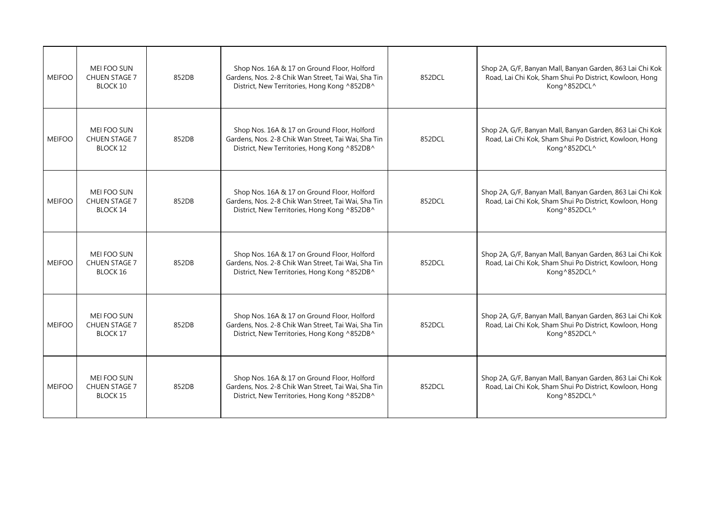| <b>MEIFOO</b> | MEI FOO SUN<br><b>CHUEN STAGE 7</b><br>BLOCK 10               | 852DB | Shop Nos. 16A & 17 on Ground Floor, Holford<br>Gardens, Nos. 2-8 Chik Wan Street, Tai Wai, Sha Tin<br>District, New Territories, Hong Kong ^852DB^ | 852DCL | Shop 2A, G/F, Banyan Mall, Banyan Garden, 863 Lai Chi Kok<br>Road, Lai Chi Kok, Sham Shui Po District, Kowloon, Hong<br>Kong^852DCL^ |
|---------------|---------------------------------------------------------------|-------|----------------------------------------------------------------------------------------------------------------------------------------------------|--------|--------------------------------------------------------------------------------------------------------------------------------------|
| <b>MEIFOO</b> | MEI FOO SUN<br><b>CHUEN STAGE 7</b><br><b>BLOCK 12</b>        | 852DB | Shop Nos. 16A & 17 on Ground Floor, Holford<br>Gardens, Nos. 2-8 Chik Wan Street, Tai Wai, Sha Tin<br>District, New Territories, Hong Kong ^852DB^ | 852DCL | Shop 2A, G/F, Banyan Mall, Banyan Garden, 863 Lai Chi Kok<br>Road, Lai Chi Kok, Sham Shui Po District, Kowloon, Hong<br>Kong^852DCL^ |
| <b>MEIFOO</b> | <b>MEI FOO SUN</b><br><b>CHUEN STAGE 7</b><br><b>BLOCK 14</b> | 852DB | Shop Nos. 16A & 17 on Ground Floor, Holford<br>Gardens, Nos. 2-8 Chik Wan Street, Tai Wai, Sha Tin<br>District, New Territories, Hong Kong ^852DB^ | 852DCL | Shop 2A, G/F, Banyan Mall, Banyan Garden, 863 Lai Chi Kok<br>Road, Lai Chi Kok, Sham Shui Po District, Kowloon, Hong<br>Kong^852DCL^ |
| <b>MEIFOO</b> | MEI FOO SUN<br>CHUEN STAGE 7<br>BLOCK 16                      | 852DB | Shop Nos. 16A & 17 on Ground Floor, Holford<br>Gardens, Nos. 2-8 Chik Wan Street, Tai Wai, Sha Tin<br>District, New Territories, Hong Kong ^852DB^ | 852DCL | Shop 2A, G/F, Banyan Mall, Banyan Garden, 863 Lai Chi Kok<br>Road, Lai Chi Kok, Sham Shui Po District, Kowloon, Hong<br>Kong^852DCL^ |
| <b>MEIFOO</b> | MEI FOO SUN<br><b>CHUEN STAGE 7</b><br><b>BLOCK 17</b>        | 852DB | Shop Nos. 16A & 17 on Ground Floor, Holford<br>Gardens, Nos. 2-8 Chik Wan Street, Tai Wai, Sha Tin<br>District, New Territories, Hong Kong ^852DB^ | 852DCL | Shop 2A, G/F, Banyan Mall, Banyan Garden, 863 Lai Chi Kok<br>Road, Lai Chi Kok, Sham Shui Po District, Kowloon, Hong<br>Kong^852DCL^ |
| <b>MEIFOO</b> | MEI FOO SUN<br><b>CHUEN STAGE 7</b><br><b>BLOCK 15</b>        | 852DB | Shop Nos. 16A & 17 on Ground Floor, Holford<br>Gardens, Nos. 2-8 Chik Wan Street, Tai Wai, Sha Tin<br>District, New Territories, Hong Kong ^852DB^ | 852DCL | Shop 2A, G/F, Banyan Mall, Banyan Garden, 863 Lai Chi Kok<br>Road, Lai Chi Kok, Sham Shui Po District, Kowloon, Hong<br>Kong^852DCL^ |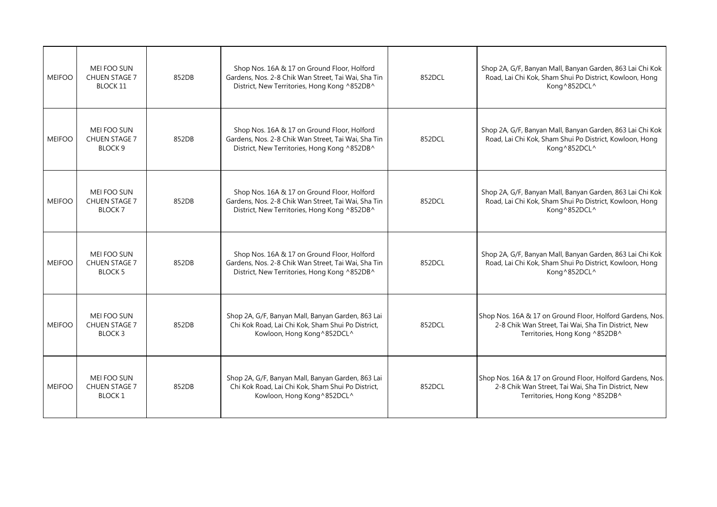| <b>MEIFOO</b> | <b>MEI FOO SUN</b><br><b>CHUEN STAGE 7</b><br><b>BLOCK 11</b> | 852DB | Shop Nos. 16A & 17 on Ground Floor, Holford<br>Gardens, Nos. 2-8 Chik Wan Street, Tai Wai, Sha Tin<br>District, New Territories, Hong Kong ^852DB^ | 852DCL | Shop 2A, G/F, Banyan Mall, Banyan Garden, 863 Lai Chi Kok<br>Road, Lai Chi Kok, Sham Shui Po District, Kowloon, Hong<br>Kong^852DCL^               |
|---------------|---------------------------------------------------------------|-------|----------------------------------------------------------------------------------------------------------------------------------------------------|--------|----------------------------------------------------------------------------------------------------------------------------------------------------|
| <b>MEIFOO</b> | <b>MEI FOO SUN</b><br><b>CHUEN STAGE 7</b><br><b>BLOCK 9</b>  | 852DB | Shop Nos. 16A & 17 on Ground Floor, Holford<br>Gardens, Nos. 2-8 Chik Wan Street, Tai Wai, Sha Tin<br>District, New Territories, Hong Kong ^852DB^ | 852DCL | Shop 2A, G/F, Banyan Mall, Banyan Garden, 863 Lai Chi Kok<br>Road, Lai Chi Kok, Sham Shui Po District, Kowloon, Hong<br>Kong^852DCL^               |
| <b>MEIFOO</b> | MEI FOO SUN<br><b>CHUEN STAGE 7</b><br><b>BLOCK 7</b>         | 852DB | Shop Nos. 16A & 17 on Ground Floor, Holford<br>Gardens, Nos. 2-8 Chik Wan Street, Tai Wai, Sha Tin<br>District, New Territories, Hong Kong ^852DB^ | 852DCL | Shop 2A, G/F, Banyan Mall, Banyan Garden, 863 Lai Chi Kok<br>Road, Lai Chi Kok, Sham Shui Po District, Kowloon, Hong<br>Kong^852DCL^               |
| <b>MEIFOO</b> | <b>MEI FOO SUN</b><br><b>CHUEN STAGE 7</b><br><b>BLOCK 5</b>  | 852DB | Shop Nos. 16A & 17 on Ground Floor, Holford<br>Gardens, Nos. 2-8 Chik Wan Street, Tai Wai, Sha Tin<br>District, New Territories, Hong Kong ^852DB^ | 852DCL | Shop 2A, G/F, Banyan Mall, Banyan Garden, 863 Lai Chi Kok<br>Road, Lai Chi Kok, Sham Shui Po District, Kowloon, Hong<br>Kong^852DCL^               |
| <b>MEIFOO</b> | MEI FOO SUN<br><b>CHUEN STAGE 7</b><br><b>BLOCK3</b>          | 852DB | Shop 2A, G/F, Banyan Mall, Banyan Garden, 863 Lai<br>Chi Kok Road, Lai Chi Kok, Sham Shui Po District,<br>Kowloon, Hong Kong ^852DCL^              | 852DCL | Shop Nos. 16A & 17 on Ground Floor, Holford Gardens, Nos.<br>2-8 Chik Wan Street, Tai Wai, Sha Tin District, New<br>Territories, Hong Kong ^852DB^ |
| <b>MEIFOO</b> | MEI FOO SUN<br><b>CHUEN STAGE 7</b><br><b>BLOCK 1</b>         | 852DB | Shop 2A, G/F, Banyan Mall, Banyan Garden, 863 Lai<br>Chi Kok Road, Lai Chi Kok, Sham Shui Po District,<br>Kowloon, Hong Kong^852DCL^               | 852DCL | Shop Nos. 16A & 17 on Ground Floor, Holford Gardens, Nos.<br>2-8 Chik Wan Street, Tai Wai, Sha Tin District, New<br>Territories, Hong Kong ^852DB^ |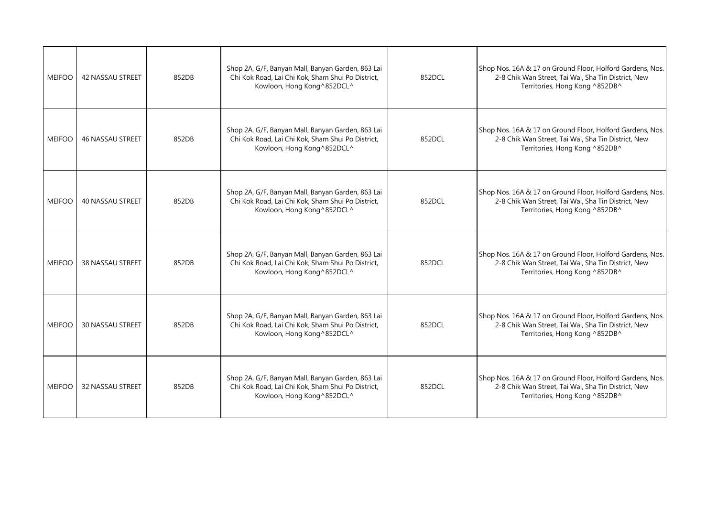| <b>MEIFOO</b> | <b>42 NASSAU STREET</b> | 852DB | Shop 2A, G/F, Banyan Mall, Banyan Garden, 863 Lai<br>Chi Kok Road, Lai Chi Kok, Sham Shui Po District,<br>Kowloon, Hong Kong ^852DCL^ | 852DCL | Shop Nos. 16A & 17 on Ground Floor, Holford Gardens, Nos.<br>2-8 Chik Wan Street, Tai Wai, Sha Tin District, New<br>Territories, Hong Kong ^852DB^ |
|---------------|-------------------------|-------|---------------------------------------------------------------------------------------------------------------------------------------|--------|----------------------------------------------------------------------------------------------------------------------------------------------------|
| <b>MEIFOO</b> | 46 NASSAU STREET        | 852DB | Shop 2A, G/F, Banyan Mall, Banyan Garden, 863 Lai<br>Chi Kok Road, Lai Chi Kok, Sham Shui Po District,<br>Kowloon, Hong Kong ^852DCL^ | 852DCL | Shop Nos. 16A & 17 on Ground Floor, Holford Gardens, Nos.<br>2-8 Chik Wan Street, Tai Wai, Sha Tin District, New<br>Territories, Hong Kong ^852DB^ |
| <b>MEIFOO</b> | <b>40 NASSAU STREET</b> | 852DB | Shop 2A, G/F, Banyan Mall, Banyan Garden, 863 Lai<br>Chi Kok Road, Lai Chi Kok, Sham Shui Po District,<br>Kowloon, Hong Kong^852DCL^  | 852DCL | Shop Nos. 16A & 17 on Ground Floor, Holford Gardens, Nos.<br>2-8 Chik Wan Street, Tai Wai, Sha Tin District, New<br>Territories, Hong Kong ^852DB^ |
| <b>MEIFOO</b> | <b>38 NASSAU STREET</b> | 852DB | Shop 2A, G/F, Banyan Mall, Banyan Garden, 863 Lai<br>Chi Kok Road, Lai Chi Kok, Sham Shui Po District,<br>Kowloon, Hong Kong ^852DCL^ | 852DCL | Shop Nos. 16A & 17 on Ground Floor, Holford Gardens, Nos.<br>2-8 Chik Wan Street, Tai Wai, Sha Tin District, New<br>Territories, Hong Kong ^852DB^ |
| <b>MEIFOO</b> | <b>30 NASSAU STREET</b> | 852DB | Shop 2A, G/F, Banyan Mall, Banyan Garden, 863 Lai<br>Chi Kok Road, Lai Chi Kok, Sham Shui Po District,<br>Kowloon, Hong Kong^852DCL^  | 852DCL | Shop Nos. 16A & 17 on Ground Floor, Holford Gardens, Nos.<br>2-8 Chik Wan Street, Tai Wai, Sha Tin District, New<br>Territories, Hong Kong ^852DB^ |
| <b>MEIFOO</b> | 32 NASSAU STREET        | 852DB | Shop 2A, G/F, Banyan Mall, Banyan Garden, 863 Lai<br>Chi Kok Road, Lai Chi Kok, Sham Shui Po District,<br>Kowloon, Hong Kong ^852DCL^ | 852DCL | Shop Nos. 16A & 17 on Ground Floor, Holford Gardens, Nos.<br>2-8 Chik Wan Street, Tai Wai, Sha Tin District, New<br>Territories, Hong Kong ^852DB^ |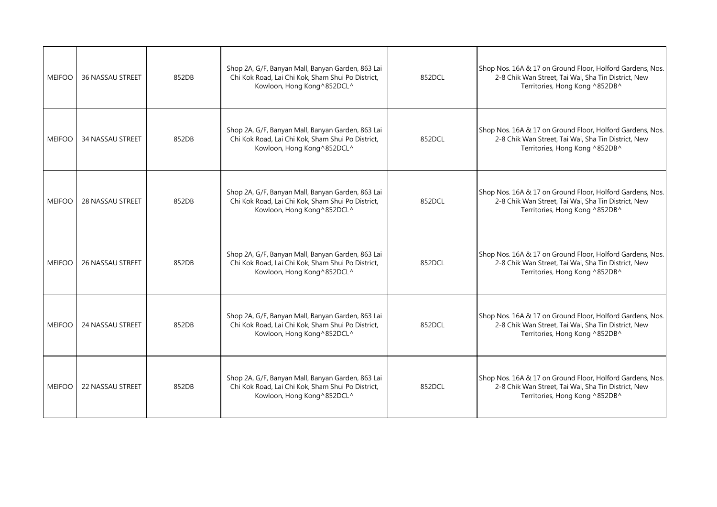| <b>MEIFOO</b> | <b>36 NASSAU STREET</b> | 852DB | Shop 2A, G/F, Banyan Mall, Banyan Garden, 863 Lai<br>Chi Kok Road, Lai Chi Kok, Sham Shui Po District,<br>Kowloon, Hong Kong ^852DCL^ | 852DCL | Shop Nos. 16A & 17 on Ground Floor, Holford Gardens, Nos.<br>2-8 Chik Wan Street, Tai Wai, Sha Tin District, New<br>Territories, Hong Kong ^852DB^ |
|---------------|-------------------------|-------|---------------------------------------------------------------------------------------------------------------------------------------|--------|----------------------------------------------------------------------------------------------------------------------------------------------------|
| <b>MEIFOO</b> | 34 NASSAU STREET        | 852DB | Shop 2A, G/F, Banyan Mall, Banyan Garden, 863 Lai<br>Chi Kok Road, Lai Chi Kok, Sham Shui Po District,<br>Kowloon, Hong Kong ^852DCL^ | 852DCL | Shop Nos. 16A & 17 on Ground Floor, Holford Gardens, Nos.<br>2-8 Chik Wan Street, Tai Wai, Sha Tin District, New<br>Territories, Hong Kong ^852DB^ |
| <b>MEIFOO</b> | <b>28 NASSAU STREET</b> | 852DB | Shop 2A, G/F, Banyan Mall, Banyan Garden, 863 Lai<br>Chi Kok Road, Lai Chi Kok, Sham Shui Po District,<br>Kowloon, Hong Kong^852DCL^  | 852DCL | Shop Nos. 16A & 17 on Ground Floor, Holford Gardens, Nos.<br>2-8 Chik Wan Street, Tai Wai, Sha Tin District, New<br>Territories, Hong Kong ^852DB^ |
| <b>MEIFOO</b> | <b>26 NASSAU STREET</b> | 852DB | Shop 2A, G/F, Banyan Mall, Banyan Garden, 863 Lai<br>Chi Kok Road, Lai Chi Kok, Sham Shui Po District,<br>Kowloon, Hong Kong ^852DCL^ | 852DCL | Shop Nos. 16A & 17 on Ground Floor, Holford Gardens, Nos.<br>2-8 Chik Wan Street, Tai Wai, Sha Tin District, New<br>Territories, Hong Kong ^852DB^ |
| <b>MEIFOO</b> | <b>24 NASSAU STREET</b> | 852DB | Shop 2A, G/F, Banyan Mall, Banyan Garden, 863 Lai<br>Chi Kok Road, Lai Chi Kok, Sham Shui Po District,<br>Kowloon, Hong Kong^852DCL^  | 852DCL | Shop Nos. 16A & 17 on Ground Floor, Holford Gardens, Nos.<br>2-8 Chik Wan Street, Tai Wai, Sha Tin District, New<br>Territories, Hong Kong ^852DB^ |
| <b>MEIFOO</b> | <b>22 NASSAU STREET</b> | 852DB | Shop 2A, G/F, Banyan Mall, Banyan Garden, 863 Lai<br>Chi Kok Road, Lai Chi Kok, Sham Shui Po District,<br>Kowloon, Hong Kong ^852DCL^ | 852DCL | Shop Nos. 16A & 17 on Ground Floor, Holford Gardens, Nos.<br>2-8 Chik Wan Street, Tai Wai, Sha Tin District, New<br>Territories, Hong Kong ^852DB^ |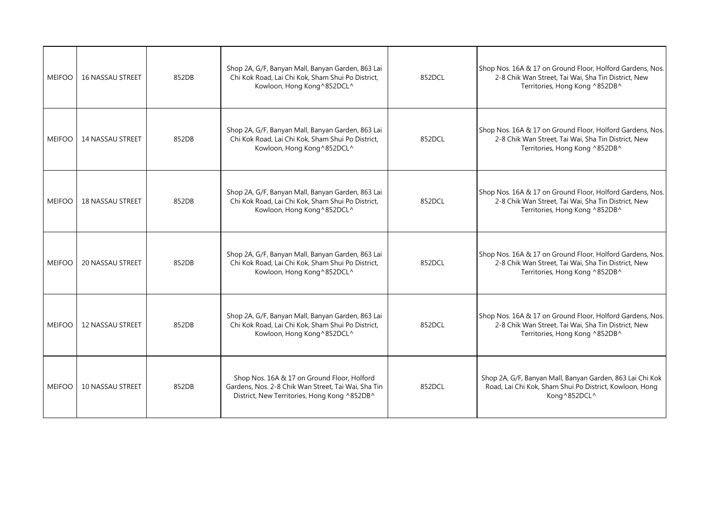| <b>MEIFOO</b> | <b>16 NASSAU STREET</b> | 852DB | Shop 2A, G/F, Banyan Mall, Banyan Garden, 863 Lai<br>Chi Kok Road, Lai Chi Kok, Sham Shui Po District,<br>Kowloon, Hong Kong ^852DCL^              | 852DCL | Shop Nos. 16A & 17 on Ground Floor, Holford Gardens, Nos.<br>2-8 Chik Wan Street, Tai Wai, Sha Tin District, New<br>Territories, Hong Kong ^852DB^ |
|---------------|-------------------------|-------|----------------------------------------------------------------------------------------------------------------------------------------------------|--------|----------------------------------------------------------------------------------------------------------------------------------------------------|
| <b>MEIFOO</b> | 14 NASSAU STREET        | 852DB | Shop 2A, G/F, Banyan Mall, Banyan Garden, 863 Lai<br>Chi Kok Road, Lai Chi Kok, Sham Shui Po District,<br>Kowloon, Hong Kong ^852DCL^              | 852DCL | Shop Nos. 16A & 17 on Ground Floor, Holford Gardens, Nos.<br>2-8 Chik Wan Street, Tai Wai, Sha Tin District, New<br>Territories, Hong Kong ^852DB^ |
| <b>MEIFOO</b> | <b>18 NASSAU STREET</b> | 852DB | Shop 2A, G/F, Banyan Mall, Banyan Garden, 863 Lai<br>Chi Kok Road, Lai Chi Kok, Sham Shui Po District,<br>Kowloon, Hong Kong^852DCL^               | 852DCL | Shop Nos. 16A & 17 on Ground Floor, Holford Gardens, Nos.<br>2-8 Chik Wan Street, Tai Wai, Sha Tin District, New<br>Territories, Hong Kong ^852DB^ |
| <b>MEIFOO</b> | <b>20 NASSAU STREET</b> | 852DB | Shop 2A, G/F, Banyan Mall, Banyan Garden, 863 Lai<br>Chi Kok Road, Lai Chi Kok, Sham Shui Po District,<br>Kowloon, Hong Kong ^852DCL^              | 852DCL | Shop Nos. 16A & 17 on Ground Floor, Holford Gardens, Nos.<br>2-8 Chik Wan Street, Tai Wai, Sha Tin District, New<br>Territories, Hong Kong ^852DB^ |
| <b>MEIFOO</b> | <b>12 NASSAU STREET</b> | 852DB | Shop 2A, G/F, Banyan Mall, Banyan Garden, 863 Lai<br>Chi Kok Road, Lai Chi Kok, Sham Shui Po District,<br>Kowloon, Hong Kong^852DCL^               | 852DCL | Shop Nos. 16A & 17 on Ground Floor, Holford Gardens, Nos.<br>2-8 Chik Wan Street, Tai Wai, Sha Tin District, New<br>Territories, Hong Kong ^852DB^ |
| <b>MEIFOO</b> | <b>10 NASSAU STREET</b> | 852DB | Shop Nos. 16A & 17 on Ground Floor, Holford<br>Gardens, Nos. 2-8 Chik Wan Street, Tai Wai, Sha Tin<br>District, New Territories, Hong Kong ^852DB^ | 852DCL | Shop 2A, G/F, Banyan Mall, Banyan Garden, 863 Lai Chi Kok<br>Road, Lai Chi Kok, Sham Shui Po District, Kowloon, Hong<br>Kong^852DCL^               |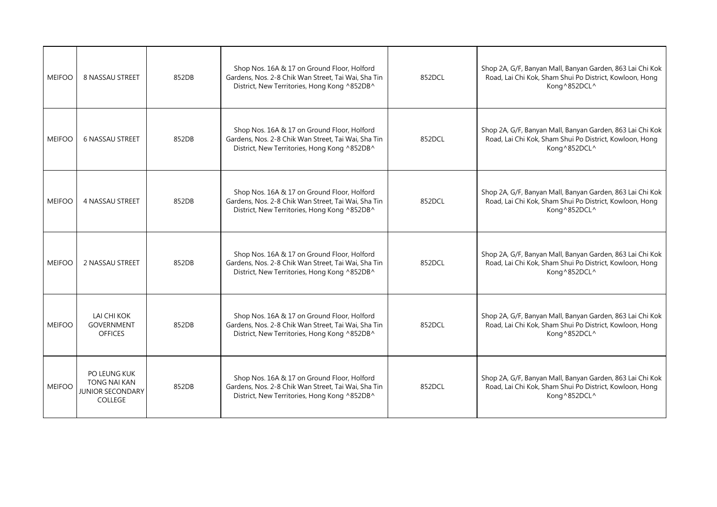| <b>MEIFOO</b> | 8 NASSAU STREET                                                                  | 852DB | Shop Nos. 16A & 17 on Ground Floor, Holford<br>Gardens, Nos. 2-8 Chik Wan Street, Tai Wai, Sha Tin<br>District, New Territories, Hong Kong ^852DB^ | 852DCL | Shop 2A, G/F, Banyan Mall, Banyan Garden, 863 Lai Chi Kok<br>Road, Lai Chi Kok, Sham Shui Po District, Kowloon, Hong<br>Kong^852DCL^ |
|---------------|----------------------------------------------------------------------------------|-------|----------------------------------------------------------------------------------------------------------------------------------------------------|--------|--------------------------------------------------------------------------------------------------------------------------------------|
| <b>MEIFOO</b> | <b>6 NASSAU STREET</b>                                                           | 852DB | Shop Nos. 16A & 17 on Ground Floor, Holford<br>Gardens, Nos. 2-8 Chik Wan Street, Tai Wai, Sha Tin<br>District, New Territories, Hong Kong ^852DB^ | 852DCL | Shop 2A, G/F, Banyan Mall, Banyan Garden, 863 Lai Chi Kok<br>Road, Lai Chi Kok, Sham Shui Po District, Kowloon, Hong<br>Kong^852DCL^ |
| <b>MEIFOO</b> | 4 NASSAU STREET                                                                  | 852DB | Shop Nos. 16A & 17 on Ground Floor, Holford<br>Gardens, Nos. 2-8 Chik Wan Street, Tai Wai, Sha Tin<br>District, New Territories, Hong Kong ^852DB^ | 852DCL | Shop 2A, G/F, Banyan Mall, Banyan Garden, 863 Lai Chi Kok<br>Road, Lai Chi Kok, Sham Shui Po District, Kowloon, Hong<br>Kong^852DCL^ |
| <b>MEIFOO</b> | 2 NASSAU STREET                                                                  | 852DB | Shop Nos. 16A & 17 on Ground Floor, Holford<br>Gardens, Nos. 2-8 Chik Wan Street, Tai Wai, Sha Tin<br>District, New Territories, Hong Kong ^852DB^ | 852DCL | Shop 2A, G/F, Banyan Mall, Banyan Garden, 863 Lai Chi Kok<br>Road, Lai Chi Kok, Sham Shui Po District, Kowloon, Hong<br>Kong^852DCL^ |
| <b>MEIFOO</b> | LAI CHI KOK<br><b>GOVERNMENT</b><br><b>OFFICES</b>                               | 852DB | Shop Nos. 16A & 17 on Ground Floor, Holford<br>Gardens, Nos. 2-8 Chik Wan Street, Tai Wai, Sha Tin<br>District, New Territories, Hong Kong ^852DB^ | 852DCL | Shop 2A, G/F, Banyan Mall, Banyan Garden, 863 Lai Chi Kok<br>Road, Lai Chi Kok, Sham Shui Po District, Kowloon, Hong<br>Kong^852DCL^ |
| <b>MEIFOO</b> | PO LEUNG KUK<br><b>TONG NAI KAN</b><br><b>JUNIOR SECONDARY</b><br><b>COLLEGE</b> | 852DB | Shop Nos. 16A & 17 on Ground Floor, Holford<br>Gardens, Nos. 2-8 Chik Wan Street, Tai Wai, Sha Tin<br>District, New Territories, Hong Kong ^852DB^ | 852DCL | Shop 2A, G/F, Banyan Mall, Banyan Garden, 863 Lai Chi Kok<br>Road, Lai Chi Kok, Sham Shui Po District, Kowloon, Hong<br>Kong^852DCL^ |